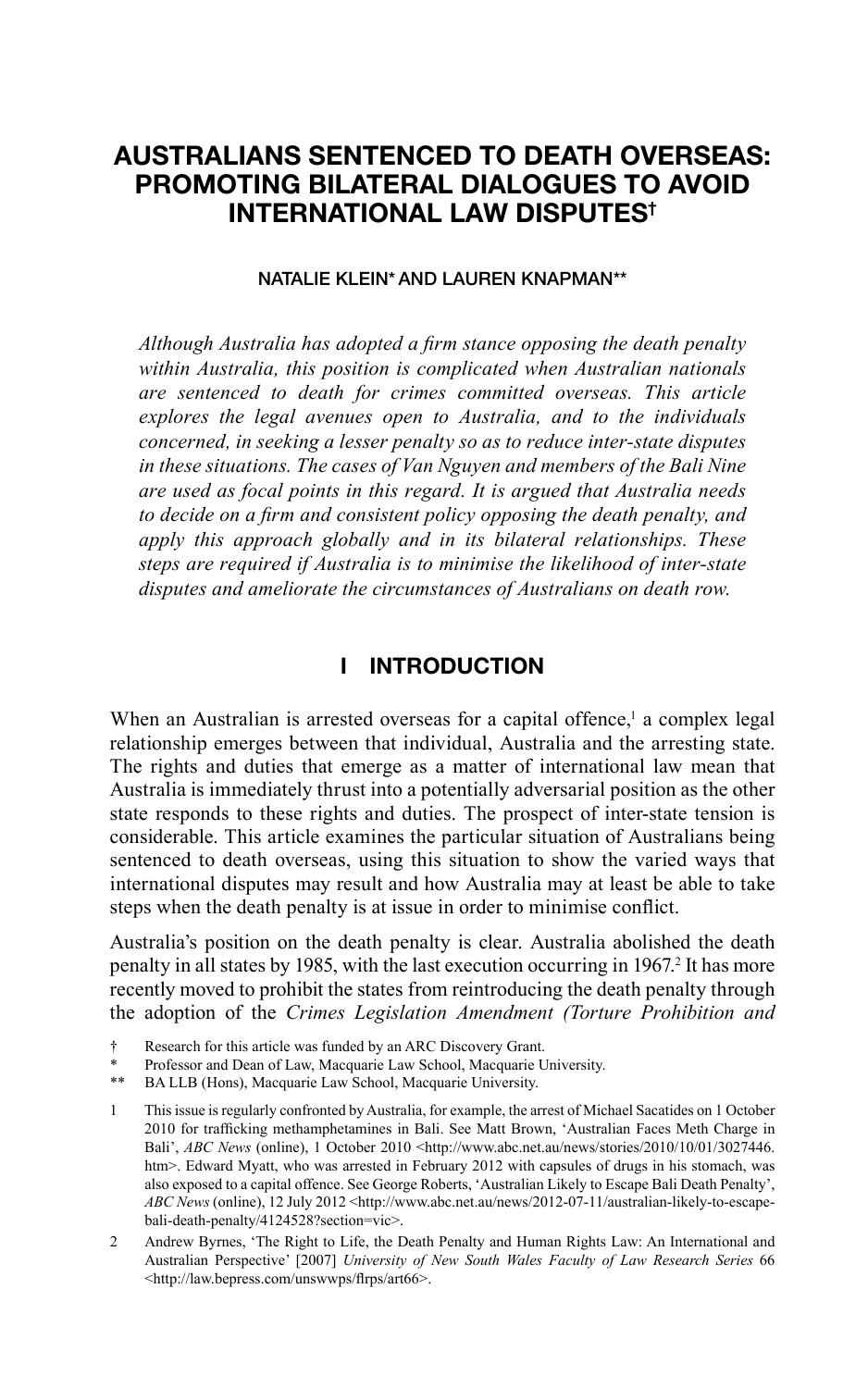# **AUSTRALIANS SENTENCED TO DEATH OVERSEAS: PROMOTING BILATERAL DIALOGUES TO AVOID INTERNATIONAL LAW DISPUTES†**

#### **NATALIE KLEIN\*AND LAUREN KNAPMAN\*\***

Although Australia has adopted a firm stance opposing the death penalty *within Australia, this position is complicated when Australian nationals are sentenced to death for crimes committed overseas. This article explores the legal avenues open to Australia, and to the individuals concerned, in seeking a lesser penalty so as to reduce inter-state disputes in these situations. The cases of Van Nguyen and members of the Bali Nine are used as focal points in this regard. It is argued that Australia needs*  to decide on a firm and consistent policy opposing the death penalty, and *apply this approach globally and in its bilateral relationships. These steps are required if Australia is to minimise the likelihood of inter-state disputes and ameliorate the circumstances of Australians on death row.*

### **I INTRODUCTION**

When an Australian is arrested overseas for a capital offence,<sup>1</sup> a complex legal relationship emerges between that individual, Australia and the arresting state. The rights and duties that emerge as a matter of international law mean that Australia is immediately thrust into a potentially adversarial position as the other state responds to these rights and duties. The prospect of inter-state tension is considerable. This article examines the particular situation of Australians being sentenced to death overseas, using this situation to show the varied ways that international disputes may result and how Australia may at least be able to take steps when the death penalty is at issue in order to minimise conflict.

Australia's position on the death penalty is clear. Australia abolished the death penalty in all states by 1985, with the last execution occurring in 1967.<sup>2</sup> It has more recently moved to prohibit the states from reintroducing the death penalty through the adoption of the *Crimes Legislation Amendment (Torture Prohibition and* 

- † Research for this article was funded by an ARC Discovery Grant.
- Professor and Dean of Law, Macquarie Law School, Macquarie University.
- \*\* BA LLB (Hons), Macquarie Law School, Macquarie University.

1 This issue is regularly confronted by Australia, for example, the arrest of Michael Sacatides on 1 October 2010 for trafficking methamphetamines in Bali. See Matt Brown, 'Australian Faces Meth Charge in Bali', *ABC News* (online), 1 October 2010 <http://www.abc.net.au/news/stories/2010/10/01/3027446. htm>. Edward Myatt, who was arrested in February 2012 with capsules of drugs in his stomach, was also exposed to a capital offence. See George Roberts, 'Australian Likely to Escape Bali Death Penalty', *ABC News* (online), 12 July 2012 <http://www.abc.net.au/news/2012-07-11/australian-likely-to-escapebali-death-penalty/4124528?section=vic>.

2 Andrew Byrnes, 'The Right to Life, the Death Penalty and Human Rights Law: An International and Australian Perspective' [2007] *University of New South Wales Faculty of Law Research Series* 66 <http://law.bepress.com/unswwps/flrps/art66>.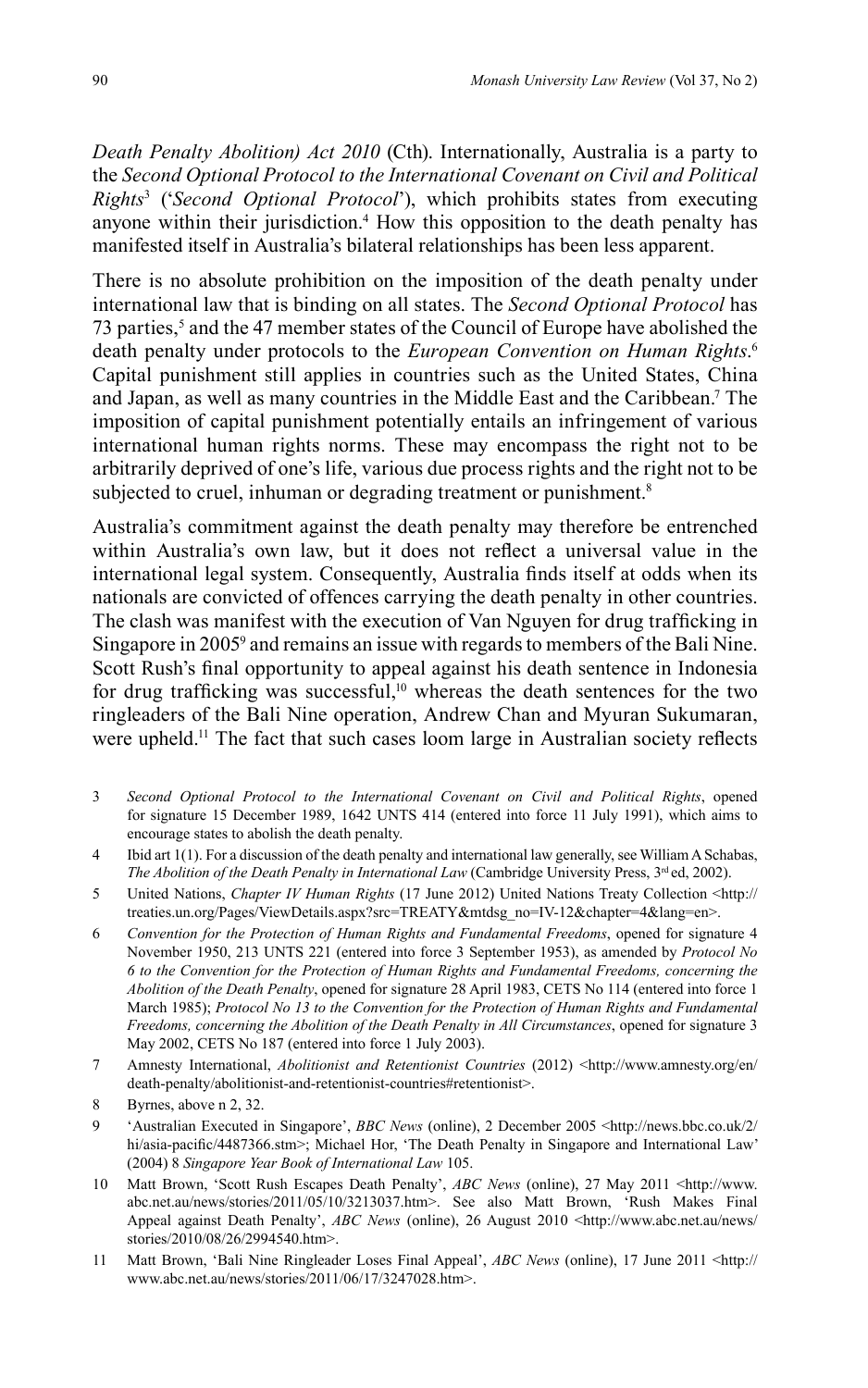*Death Penalty Abolition) Act 2010* (Cth). Internationally, Australia is a party to the *Second Optional Protocol to the International Covenant on Civil and Political Rights*<sup>3</sup> ('*Second Optional Protocol*'), which prohibits states from executing anyone within their jurisdiction.<sup>4</sup> How this opposition to the death penalty has manifested itself in Australia's bilateral relationships has been less apparent.

There is no absolute prohibition on the imposition of the death penalty under international law that is binding on all states. The *Second Optional Protocol* has 73 parties,<sup>5</sup> and the 47 member states of the Council of Europe have abolished the death penalty under protocols to the *European Convention on Human Rights*. 6 Capital punishment still applies in countries such as the United States, China and Japan, as well as many countries in the Middle East and the Caribbean.7 The imposition of capital punishment potentially entails an infringement of various international human rights norms. These may encompass the right not to be arbitrarily deprived of one's life, various due process rights and the right not to be subjected to cruel, inhuman or degrading treatment or punishment.<sup>8</sup>

Australia's commitment against the death penalty may therefore be entrenched within Australia's own law, but it does not reflect a universal value in the international legal system. Consequently, Australia finds itself at odds when its nationals are convicted of offences carrying the death penalty in other countries. The clash was manifest with the execution of Van Nguyen for drug trafficking in Singapore in 2005<sup>9</sup> and remains an issue with regards to members of the Bali Nine. Scott Rush's final opportunity to appeal against his death sentence in Indonesia for drug trafficking was successful, $10$  whereas the death sentences for the two ringleaders of the Bali Nine operation, Andrew Chan and Myuran Sukumaran, were upheld.<sup>11</sup> The fact that such cases loom large in Australian society reflects

- 3 *Second Optional Protocol to the International Covenant on Civil and Political Rights*, opened for signature 15 December 1989, 1642 UNTS 414 (entered into force 11 July 1991), which aims to encourage states to abolish the death penalty.
- 4 Ibid art 1(1). For a discussion of the death penalty and international law generally, see William A Schabas, *The Abolition of the Death Penalty in International Law* (Cambridge University Press, 3<sup>rd</sup> ed, 2002).
- 5 United Nations, *Chapter IV Human Rights* (17 June 2012) United Nations Treaty Collection <http:// treaties.un.org/Pages/ViewDetails.aspx?src=TREATY&mtdsg\_no=IV-12&chapter=4&lang=en>.
- 6 *Convention for the Protection of Human Rights and Fundamental Freedoms*, opened for signature 4 November 1950, 213 UNTS 221 (entered into force 3 September 1953), as amended by *Protocol No 6 to the Convention for the Protection of Human Rights and Fundamental Freedoms, concerning the Abolition of the Death Penalty*, opened for signature 28 April 1983, CETS No 114 (entered into force 1 March 1985); *Protocol No 13 to the Convention for the Protection of Human Rights and Fundamental Freedoms, concerning the Abolition of the Death Penalty in All Circumstances*, opened for signature 3 May 2002, CETS No 187 (entered into force 1 July 2003).
- 7 Amnesty International, *Abolitionist and Retentionist Countries* (2012) <http://www.amnesty.org/en/ death-penalty/abolitionist-and-retentionist-countries#retentionist>.
- 8 Byrnes, above n 2, 32.
- 9 'Australian Executed in Singapore', *BBC News* (online), 2 December 2005 <http://news.bbc.co.uk/2/ hi/asia-pacific/4487366.stm>; Michael Hor, 'The Death Penalty in Singapore and International Law' (2004) 8 *Singapore Year Book of International Law* 105.
- 10 Matt Brown, 'Scott Rush Escapes Death Penalty', *ABC News* (online), 27 May 2011 <http://www. abc.net.au/news/stories/2011/05/10/3213037.htm>. See also Matt Brown, 'Rush Makes Final Appeal against Death Penalty', *ABC News* (online), 26 August 2010 <http://www.abc.net.au/news/ stories/2010/08/26/2994540.htm>.
- 11 Matt Brown, 'Bali Nine Ringleader Loses Final Appeal', *ABC News* (online), 17 June 2011 <http:// www.abc.net.au/news/stories/2011/06/17/3247028.htm>.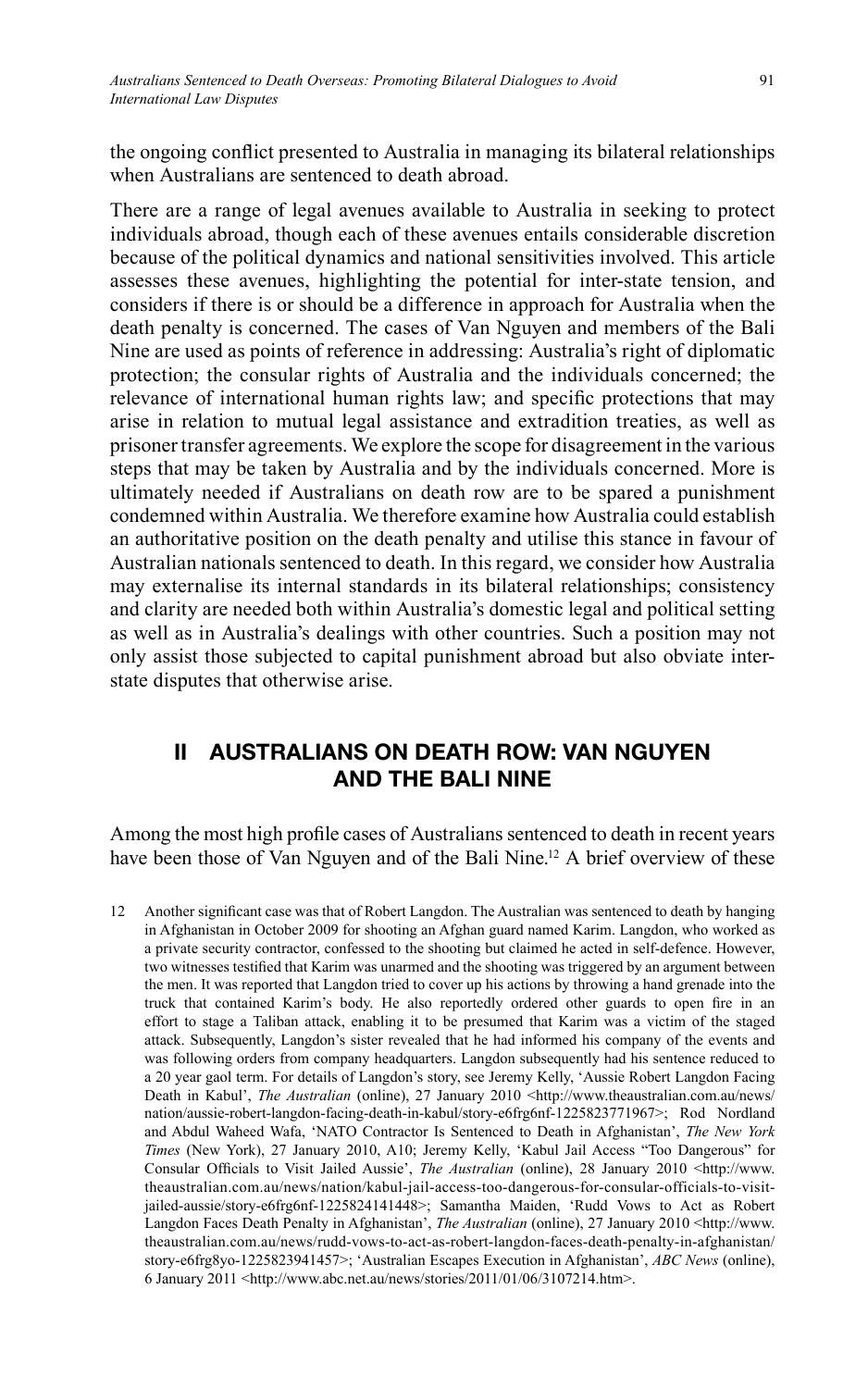the ongoing conflict presented to Australia in managing its bilateral relationships when Australians are sentenced to death abroad.

There are a range of legal avenues available to Australia in seeking to protect individuals abroad, though each of these avenues entails considerable discretion because of the political dynamics and national sensitivities involved. This article assesses these avenues, highlighting the potential for inter-state tension, and considers if there is or should be a difference in approach for Australia when the death penalty is concerned. The cases of Van Nguyen and members of the Bali Nine are used as points of reference in addressing: Australia's right of diplomatic protection; the consular rights of Australia and the individuals concerned; the relevance of international human rights law; and specific protections that may arise in relation to mutual legal assistance and extradition treaties, as well as prisoner transfer agreements. We explore the scope for disagreement in the various steps that may be taken by Australia and by the individuals concerned. More is ultimately needed if Australians on death row are to be spared a punishment condemned within Australia. We therefore examine how Australia could establish an authoritative position on the death penalty and utilise this stance in favour of Australian nationals sentenced to death. In this regard, we consider how Australia may externalise its internal standards in its bilateral relationships; consistency and clarity are needed both within Australia's domestic legal and political setting as well as in Australia's dealings with other countries. Such a position may not only assist those subjected to capital punishment abroad but also obviate interstate disputes that otherwise arise.

## **II AUSTRALIANS ON DEATH ROW: VAN NGUYEN AND THE BALI NINE**

Among the most high profile cases of Australians sentenced to death in recent years have been those of Van Nguyen and of the Bali Nine.<sup>12</sup> A brief overview of these

Another significant case was that of Robert Langdon. The Australian was sentenced to death by hanging in Afghanistan in October 2009 for shooting an Afghan guard named Karim. Langdon, who worked as a private security contractor, confessed to the shooting but claimed he acted in self-defence. However, two witnesses testified that Karim was unarmed and the shooting was triggered by an argument between the men. It was reported that Langdon tried to cover up his actions by throwing a hand grenade into the truck that contained Karim's body. He also reportedly ordered other guards to open fire in an effort to stage a Taliban attack, enabling it to be presumed that Karim was a victim of the staged attack. Subsequently, Langdon's sister revealed that he had informed his company of the events and was following orders from company headquarters. Langdon subsequently had his sentence reduced to a 20 year gaol term. For details of Langdon's story, see Jeremy Kelly, 'Aussie Robert Langdon Facing Death in Kabul', *The Australian* (online), 27 January 2010 <http://www.theaustralian.com.au/news/ nation/aussie-robert-langdon-facing-death-in-kabul/story-e6frg6nf-1225823771967>; Rod Nordland and Abdul Waheed Wafa, 'NATO Contractor Is Sentenced to Death in Afghanistan', *The New York Times* (New York), 27 January 2010, A10; Jeremy Kelly, 'Kabul Jail Access "Too Dangerous" for Consular Officials to Visit Jailed Aussie', *The Australian* (online), 28 January 2010 <http://www. theaustralian.com.au/news/nation/kabul-jail-access-too-dangerous-for-consular-officials-to-visitjailed-aussie/story-e6frg6nf-1225824141448>; Samantha Maiden, 'Rudd Vows to Act as Robert Langdon Faces Death Penalty in Afghanistan', *The Australian* (online), 27 January 2010 <http://www. theaustralian.com.au/news/rudd-vows-to-act-as-robert-langdon-faces-death-penalty-in-afghanistan/ story-e6frg8yo-1225823941457>; 'Australian Escapes Execution in Afghanistan', *ABC News* (online), 6 January 2011 <http://www.abc.net.au/news/stories/2011/01/06/3107214.htm>.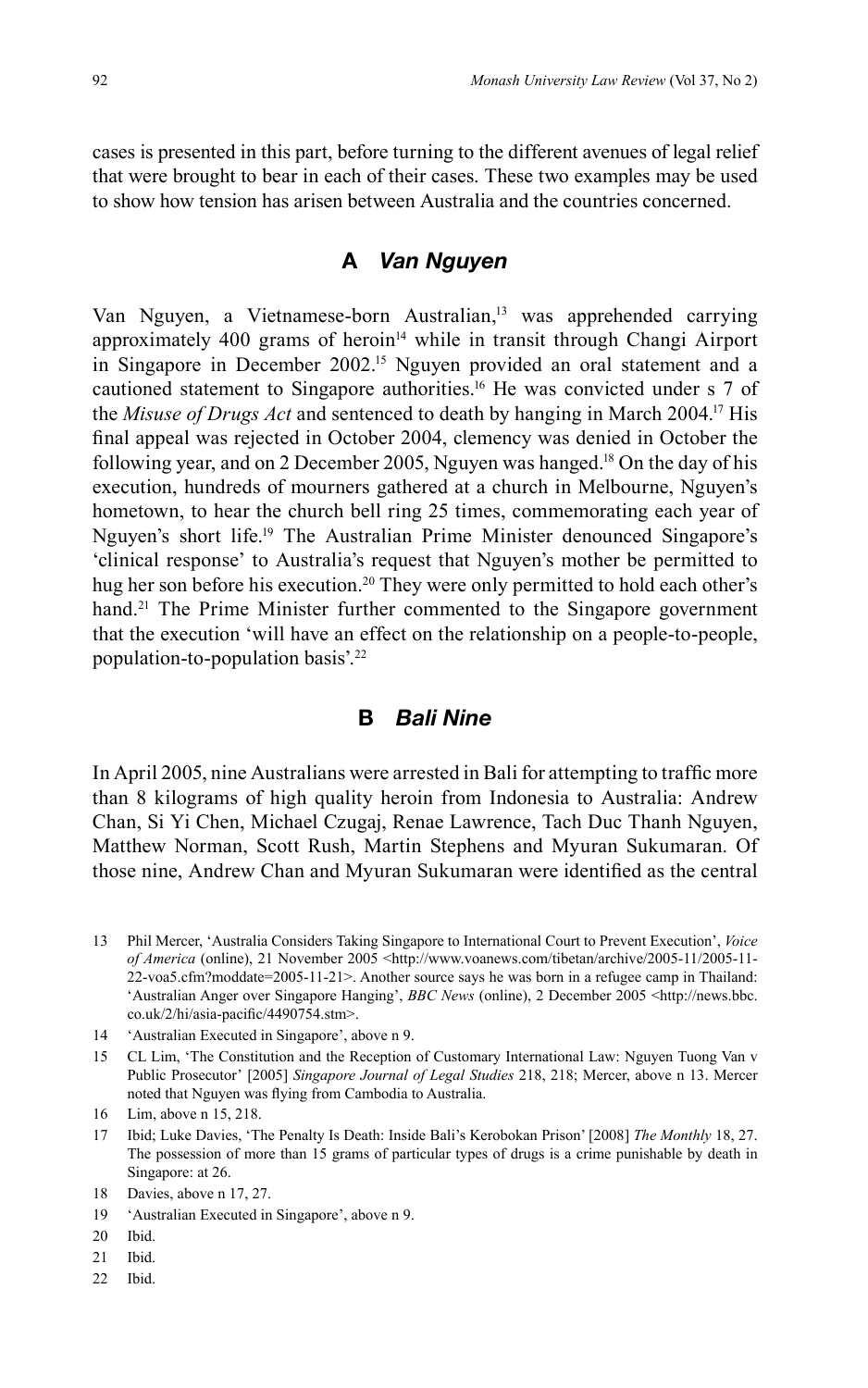cases is presented in this part, before turning to the different avenues of legal relief that were brought to bear in each of their cases. These two examples may be used to show how tension has arisen between Australia and the countries concerned.

### **A** *Van Nguyen*

Van Nguyen, a Vietnamese-born Australian,<sup>13</sup> was apprehended carrying approximately 400 grams of heroin<sup>14</sup> while in transit through Changi Airport in Singapore in December 2002.<sup>15</sup> Nguyen provided an oral statement and a cautioned statement to Singapore authorities.16 He was convicted under s 7 of the *Misuse of Drugs Act* and sentenced to death by hanging in March 2004.17 His final appeal was rejected in October 2004, clemency was denied in October the following year, and on 2 December 2005, Nguyen was hanged.<sup>18</sup> On the day of his execution, hundreds of mourners gathered at a church in Melbourne, Nguyen's hometown, to hear the church bell ring 25 times, commemorating each year of Nguyen's short life.19 The Australian Prime Minister denounced Singapore's 'clinical response' to Australia's request that Nguyen's mother be permitted to hug her son before his execution.<sup>20</sup> They were only permitted to hold each other's hand.<sup>21</sup> The Prime Minister further commented to the Singapore government that the execution 'will have an effect on the relationship on a people-to-people, population-to-population basis'.22

### **B** *Bali Nine*

In April 2005, nine Australians were arrested in Bali for attempting to traffic more than 8 kilograms of high quality heroin from Indonesia to Australia: Andrew Chan, Si Yi Chen, Michael Czugaj, Renae Lawrence, Tach Duc Thanh Nguyen, Matthew Norman, Scott Rush, Martin Stephens and Myuran Sukumaran. Of those nine, Andrew Chan and Myuran Sukumaran were identified as the central

- 13 Phil Mercer, 'Australia Considers Taking Singapore to International Court to Prevent Execution', *Voice of America* (online), 21 November 2005 <http://www.voanews.com/tibetan/archive/2005-11/2005-11- 22-voa5.cfm?moddate=2005-11-21>. Another source says he was born in a refugee camp in Thailand: 'Australian Anger over Singapore Hanging', *BBC News* (online), 2 December 2005 <http://news.bbc. co.uk/2/hi/asia-pacific/4490754.stm>.
- 14 'Australian Executed in Singapore', above n 9.
- 15 CL Lim, 'The Constitution and the Reception of Customary International Law: Nguyen Tuong Van v Public Prosecutor' [2005] *Singapore Journal of Legal Studies* 218, 218; Mercer, above n 13. Mercer noted that Nguyen was flying from Cambodia to Australia.

17 Ibid; Luke Davies, 'The Penalty Is Death: Inside Bali's Kerobokan Prison' [2008] *The Monthly* 18, 27. The possession of more than 15 grams of particular types of drugs is a crime punishable by death in Singapore: at 26.

- 20 Ibid.
- 21 Ibid.
- 22 Ibid.

<sup>16</sup> Lim, above n 15, 218.

<sup>18</sup> Davies, above n 17, 27.

<sup>19 &#</sup>x27;Australian Executed in Singapore', above n 9.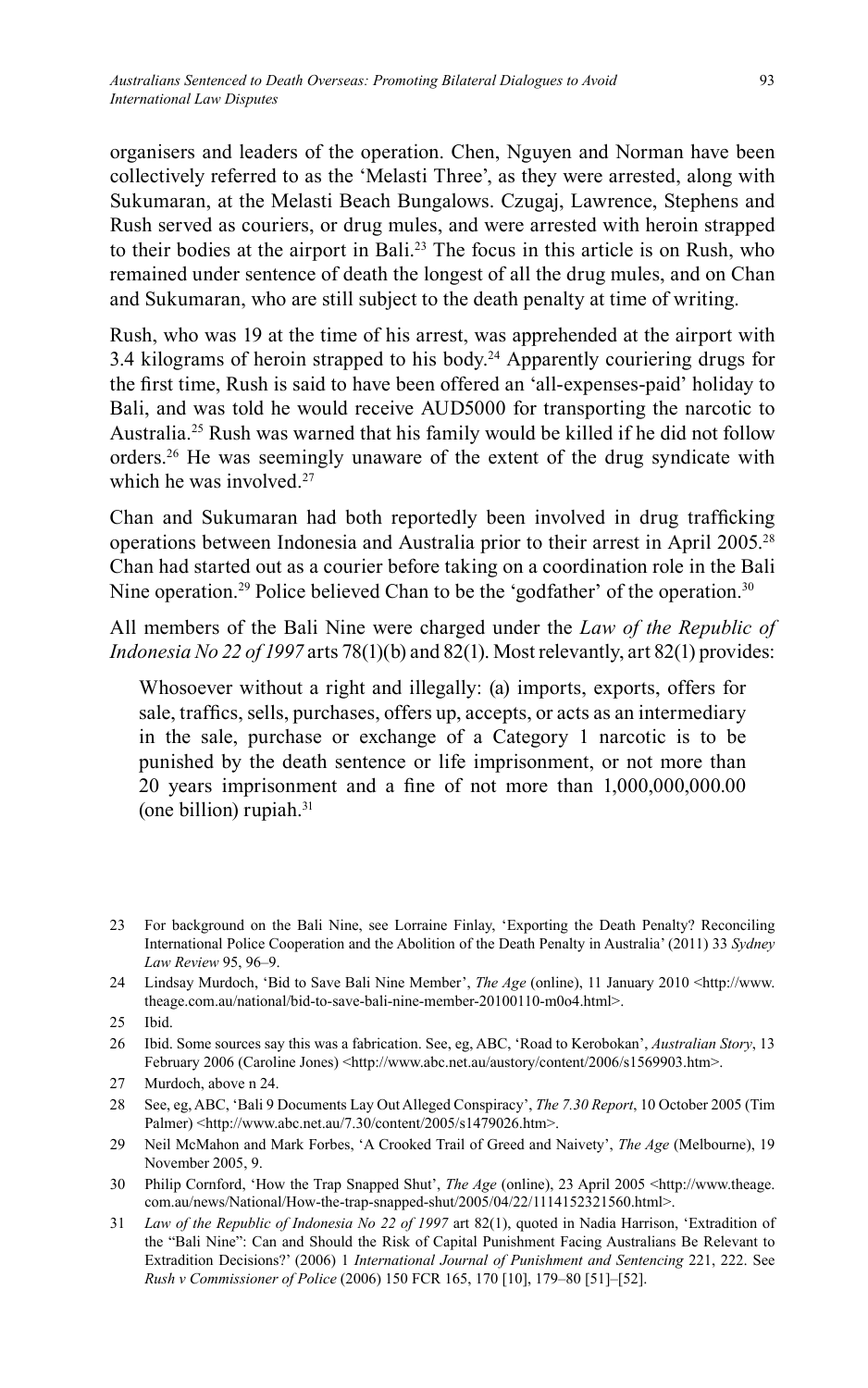organisers and leaders of the operation. Chen, Nguyen and Norman have been collectively referred to as the 'Melasti Three', as they were arrested, along with Sukumaran, at the Melasti Beach Bungalows. Czugaj, Lawrence, Stephens and Rush served as couriers, or drug mules, and were arrested with heroin strapped to their bodies at the airport in Bali.23 The focus in this article is on Rush, who remained under sentence of death the longest of all the drug mules, and on Chan and Sukumaran, who are still subject to the death penalty at time of writing.

Rush, who was 19 at the time of his arrest, was apprehended at the airport with 3.4 kilograms of heroin strapped to his body.<sup>24</sup> Apparently couriering drugs for the first time, Rush is said to have been offered an 'all-expenses-paid' holiday to Bali, and was told he would receive AUD5000 for transporting the narcotic to Australia.25 Rush was warned that his family would be killed if he did not follow orders. 26 He was seemingly unaware of the extent of the drug syndicate with which he was involved.<sup>27</sup>

Chan and Sukumaran had both reportedly been involved in drug trafficking operations between Indonesia and Australia prior to their arrest in April 2005.28 Chan had started out as a courier before taking on a coordination role in the Bali Nine operation.<sup>29</sup> Police believed Chan to be the 'godfather' of the operation.<sup>30</sup>

All members of the Bali Nine were charged under the *Law of the Republic of Indonesia No 22 of 1997* arts 78(1)(b) and 82(1). Most relevantly, art 82(1) provides:

Whosoever without a right and illegally: (a) imports, exports, offers for sale, traffics, sells, purchases, offers up, accepts, or acts as an intermediary in the sale, purchase or exchange of a Category 1 narcotic is to be punished by the death sentence or life imprisonment, or not more than 20 years imprisonment and a fine of not more than  $1,000,000,000,000$ (one billion) rupiah.31

<sup>23</sup> For background on the Bali Nine, see Lorraine Finlay, 'Exporting the Death Penalty? Reconciling International Police Cooperation and the Abolition of the Death Penalty in Australia' (2011) 33 *Sydney Law Review* 95, 96–9.

<sup>24</sup> Lindsay Murdoch, 'Bid to Save Bali Nine Member', *The Age* (online), 11 January 2010 <http://www. theage.com.au/national/bid-to-save-bali-nine-member-20100110-m0o4.html>.

<sup>25</sup> Ibid.

<sup>26</sup> Ibid. Some sources say this was a fabrication. See, eg, ABC, 'Road to Kerobokan', *Australian Story*, 13 February 2006 (Caroline Jones) <http://www.abc.net.au/austory/content/2006/s1569903.htm>.

<sup>27</sup> Murdoch, above n 24.

<sup>28</sup> See, eg, ABC, 'Bali 9 Documents Lay Out Alleged Conspiracy', *The 7.30 Report*, 10 October 2005 (Tim Palmer) <http://www.abc.net.au/7.30/content/2005/s1479026.htm>.

<sup>29</sup> Neil McMahon and Mark Forbes, 'A Crooked Trail of Greed and Naivety', *The Age* (Melbourne), 19 November 2005, 9.

<sup>30</sup> Philip Cornford, 'How the Trap Snapped Shut', *The Age* (online), 23 April 2005 <http://www.theage. com.au/news/National/How-the-trap-snapped-shut/2005/04/22/1114152321560.html>.

<sup>31</sup> *Law of the Republic of Indonesia No 22 of 1997* art 82(1), quoted in Nadia Harrison, 'Extradition of the "Bali Nine": Can and Should the Risk of Capital Punishment Facing Australians Be Relevant to Extradition Decisions?' (2006) 1 *International Journal of Punishment and Sentencing* 221, 222. See *Rush v Commissioner of Police* (2006) 150 FCR 165, 170 [10], 179–80 [51]–[52].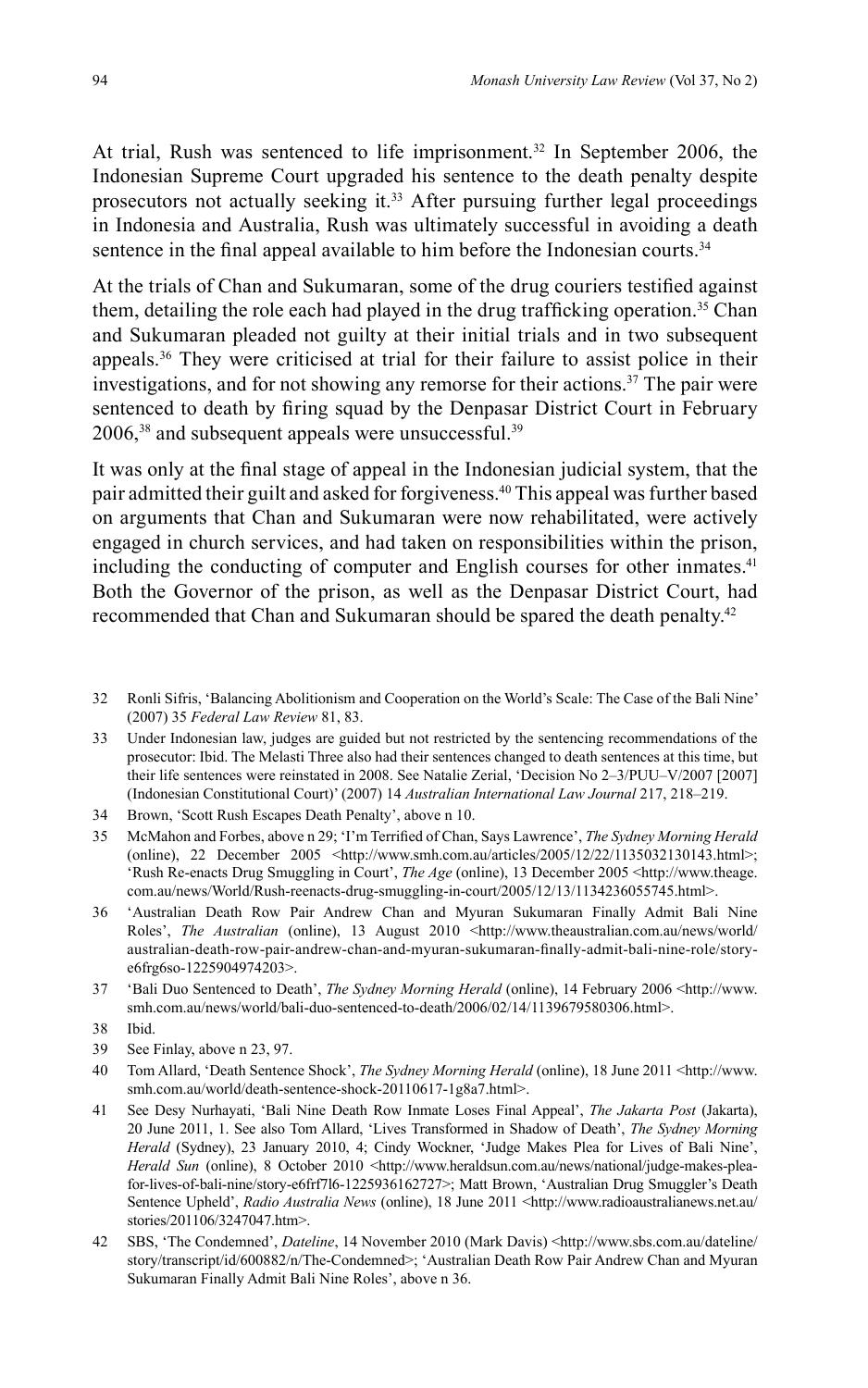At trial, Rush was sentenced to life imprisonment.<sup>32</sup> In September 2006, the Indonesian Supreme Court upgraded his sentence to the death penalty despite prosecutors not actually seeking it.<sup>33</sup> After pursuing further legal proceedings in Indonesia and Australia, Rush was ultimately successful in avoiding a death sentence in the final appeal available to him before the Indonesian courts.<sup>34</sup>

At the trials of Chan and Sukumaran, some of the drug couriers testified against them, detailing the role each had played in the drug trafficking operation.<sup>35</sup> Chan and Sukumaran pleaded not guilty at their initial trials and in two subsequent appeals.36 They were criticised at trial for their failure to assist police in their investigations, and for not showing any remorse for their actions.37 The pair were sentenced to death by firing squad by the Denpasar District Court in February  $2006$ ,<sup>38</sup> and subsequent appeals were unsuccessful.<sup>39</sup>

It was only at the final stage of appeal in the Indonesian judicial system, that the pair admitted their guilt and asked for forgiveness.40 This appeal was further based on arguments that Chan and Sukumaran were now rehabilitated, were actively engaged in church services, and had taken on responsibilities within the prison, including the conducting of computer and English courses for other inmates.<sup>41</sup> Both the Governor of the prison, as well as the Denpasar District Court, had recommended that Chan and Sukumaran should be spared the death penalty.42

- 32 Ronli Sifris, 'Balancing Abolitionism and Cooperation on the World's Scale: The Case of the Bali Nine' (2007) 35 *Federal Law Review* 81, 83.
- 33 Under Indonesian law, judges are guided but not restricted by the sentencing recommendations of the prosecutor: Ibid. The Melasti Three also had their sentences changed to death sentences at this time, but their life sentences were reinstated in 2008. See Natalie Zerial, 'Decision No 2–3/PUU–V/2007 [2007] (Indonesian Constitutional Court)' (2007) 14 *Australian International Law Journal* 217, 218–219.
- 34 Brown, 'Scott Rush Escapes Death Penalty', above n 10.
- 35 McMahon and Forbes, above n 29; 'I'm Terrified of Chan, Says Lawrence', *The Sydney Morning Herald* (online), 22 December 2005  $\lt$ http://www.smh.com.au/articles/2005/12/22/1135032130143.html>; 'Rush Re-enacts Drug Smuggling in Court', *The Age* (online), 13 December 2005 <http://www.theage. com.au/news/World/Rush-reenacts-drug-smuggling-in-court/2005/12/13/1134236055745.html>.
- 36 'Australian Death Row Pair Andrew Chan and Myuran Sukumaran Finally Admit Bali Nine Roles', *The Australian* (online), 13 August 2010 <http://www.theaustralian.com.au/news/world/ australian-death-row-pair-andrew-chan-and-myuran-sukumaran-fi nally-admit-bali-nine-role/storye6frg6so-1225904974203>.
- 37 'Bali Duo Sentenced to Death', *The Sydney Morning Herald* (online), 14 February 2006 <http://www. smh.com.au/news/world/bali-duo-sentenced-to-death/2006/02/14/1139679580306.html>.
- 38 Ibid.
- 39 See Finlay, above n 23, 97.
- 40 Tom Allard, 'Death Sentence Shock', *The Sydney Morning Herald* (online), 18 June 2011 <http://www. smh.com.au/world/death-sentence-shock-20110617-1g8a7.html>.
- 41 See Desy Nurhayati, 'Bali Nine Death Row Inmate Loses Final Appeal', *The Jakarta Post* (Jakarta), 20 June 2011, 1. See also Tom Allard, 'Lives Transformed in Shadow of Death', *The Sydney Morning Herald* (Sydney), 23 January 2010, 4; Cindy Wockner, 'Judge Makes Plea for Lives of Bali Nine', *Herald Sun* (online), 8 October 2010 <http://www.heraldsun.com.au/news/national/judge-makes-pleafor-lives-of-bali-nine/story-e6frf7l6-1225936162727>; Matt Brown, 'Australian Drug Smuggler's Death Sentence Upheld', *Radio Australia News* (online), 18 June 2011 <http://www.radioaustralianews.net.au/ stories/201106/3247047.htm>.
- 42 SBS, 'The Condemned', *Dateline*, 14 November 2010 (Mark Davis) <http://www.sbs.com.au/dateline/ story/transcript/id/600882/n/The-Condemned>; 'Australian Death Row Pair Andrew Chan and Myuran Sukumaran Finally Admit Bali Nine Roles', above n 36.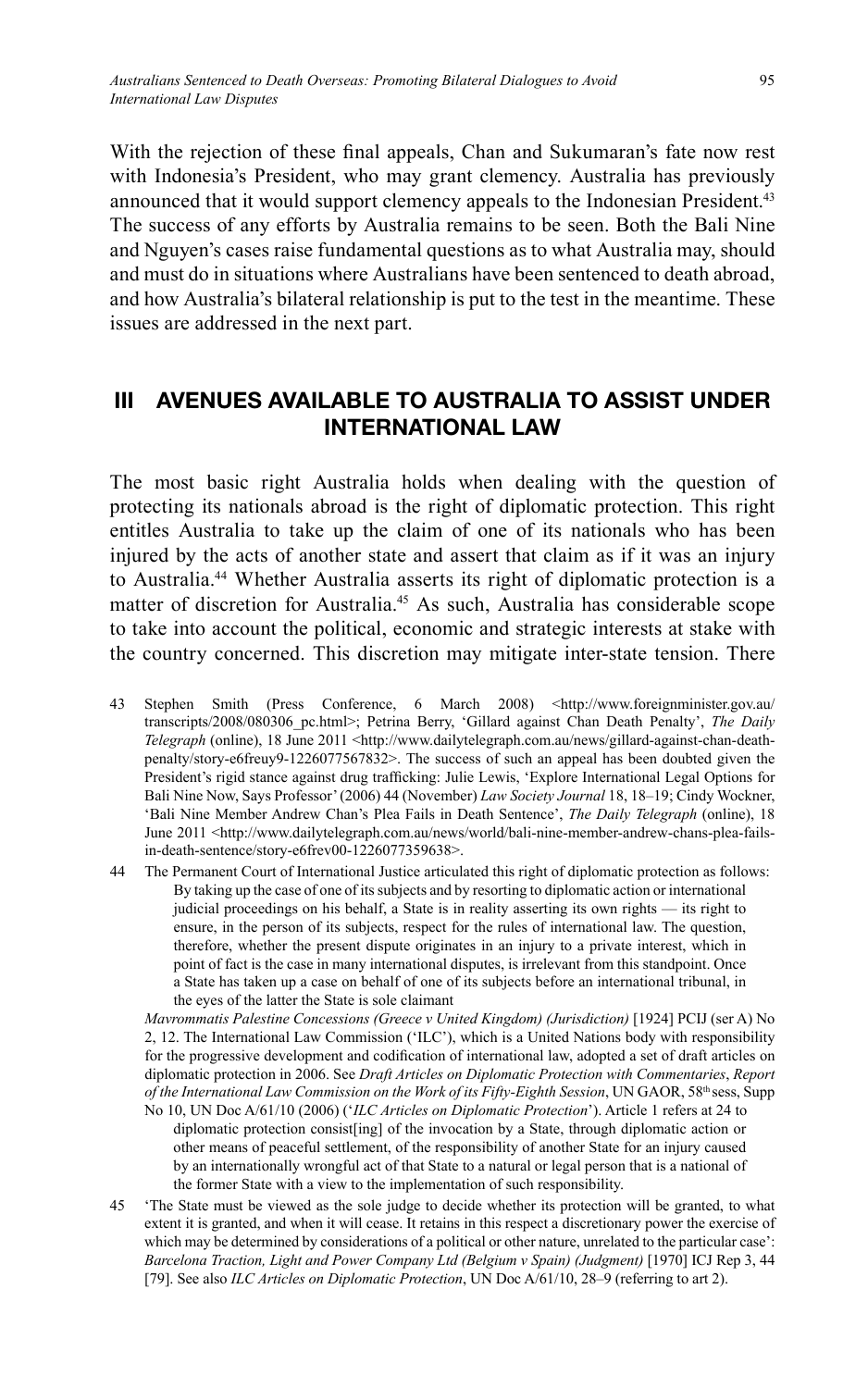With the rejection of these final appeals. Chan and Sukumaran's fate now rest with Indonesia's President, who may grant clemency. Australia has previously announced that it would support clemency appeals to the Indonesian President.<sup>43</sup> The success of any efforts by Australia remains to be seen. Both the Bali Nine and Nguyen's cases raise fundamental questions as to what Australia may, should and must do in situations where Australians have been sentenced to death abroad, and how Australia's bilateral relationship is put to the test in the meantime. These issues are addressed in the next part.

## **III AVENUES AVAILABLE TO AUSTRALIA TO ASSIST UNDER INTERNATIONAL LAW**

The most basic right Australia holds when dealing with the question of protecting its nationals abroad is the right of diplomatic protection. This right entitles Australia to take up the claim of one of its nationals who has been injured by the acts of another state and assert that claim as if it was an injury to Australia. 44 Whether Australia asserts its right of diplomatic protection is a matter of discretion for Australia.45 As such, Australia has considerable scope to take into account the political, economic and strategic interests at stake with the country concerned. This discretion may mitigate inter-state tension. There

- 43 Stephen Smith (Press Conference, 6 March 2008) <http://www.foreignminister.gov.au/ transcripts/2008/080306\_pc.html>; Petrina Berry, 'Gillard against Chan Death Penalty', *The Daily Telegraph* (online), 18 June 2011 <http://www.dailytelegraph.com.au/news/gillard-against-chan-deathpenalty/story-e6freuy9-1226077567832>. The success of such an appeal has been doubted given the President's rigid stance against drug trafficking: Julie Lewis, 'Explore International Legal Options for Bali Nine Now, Says Professor' (2006) 44 (November) *Law Society Journal* 18, 18–19; Cindy Wockner, 'Bali Nine Member Andrew Chan's Plea Fails in Death Sentence', *The Daily Telegraph* (online), 18 June 2011 <http://www.dailytelegraph.com.au/news/world/bali-nine-member-andrew-chans-plea-failsin-death-sentence/story-e6frev00-1226077359638>.
- 44 The Permanent Court of International Justice articulated this right of diplomatic protection as follows: By taking up the case of one of its subjects and by resorting to diplomatic action or international judicial proceedings on his behalf, a State is in reality asserting its own rights — its right to ensure, in the person of its subjects, respect for the rules of international law. The question, therefore, whether the present dispute originates in an injury to a private interest, which in point of fact is the case in many international disputes, is irrelevant from this standpoint. Once a State has taken up a case on behalf of one of its subjects before an international tribunal, in the eyes of the latter the State is sole claimant

*Mavrommatis Palestine Concessions (Greece v United Kingdom) (Jurisdiction)* [1924] PCIJ (ser A) No 2, 12. The International Law Commission ('ILC'), which is a United Nations body with responsibility for the progressive development and codification of international law, adopted a set of draft articles on diplomatic protection in 2006. See *Draft Articles on Diplomatic Protection with Commentaries*, *Report*  of the International Law Commission on the Work of its Fifty-Eighth Session, UN GAOR, 58<sup>th</sup> sess, Supp

- No 10, UN Doc A/61/10 (2006) ('*ILC Articles on Diplomatic Protection*'). Article 1 refers at 24 to diplomatic protection consist[ing] of the invocation by a State, through diplomatic action or other means of peaceful settlement, of the responsibility of another State for an injury caused by an internationally wrongful act of that State to a natural or legal person that is a national of the former State with a view to the implementation of such responsibility.
- 45 'The State must be viewed as the sole judge to decide whether its protection will be granted, to what extent it is granted, and when it will cease. It retains in this respect a discretionary power the exercise of which may be determined by considerations of a political or other nature, unrelated to the particular case': Barcelona Traction, Light and Power Company Ltd (Belgium v Spain) (Judgment) [1970] ICJ Rep 3, 44 [79]. See also *ILC Articles on Diplomatic Protection*, UN Doc A/61/10, 28–9 (referring to art 2).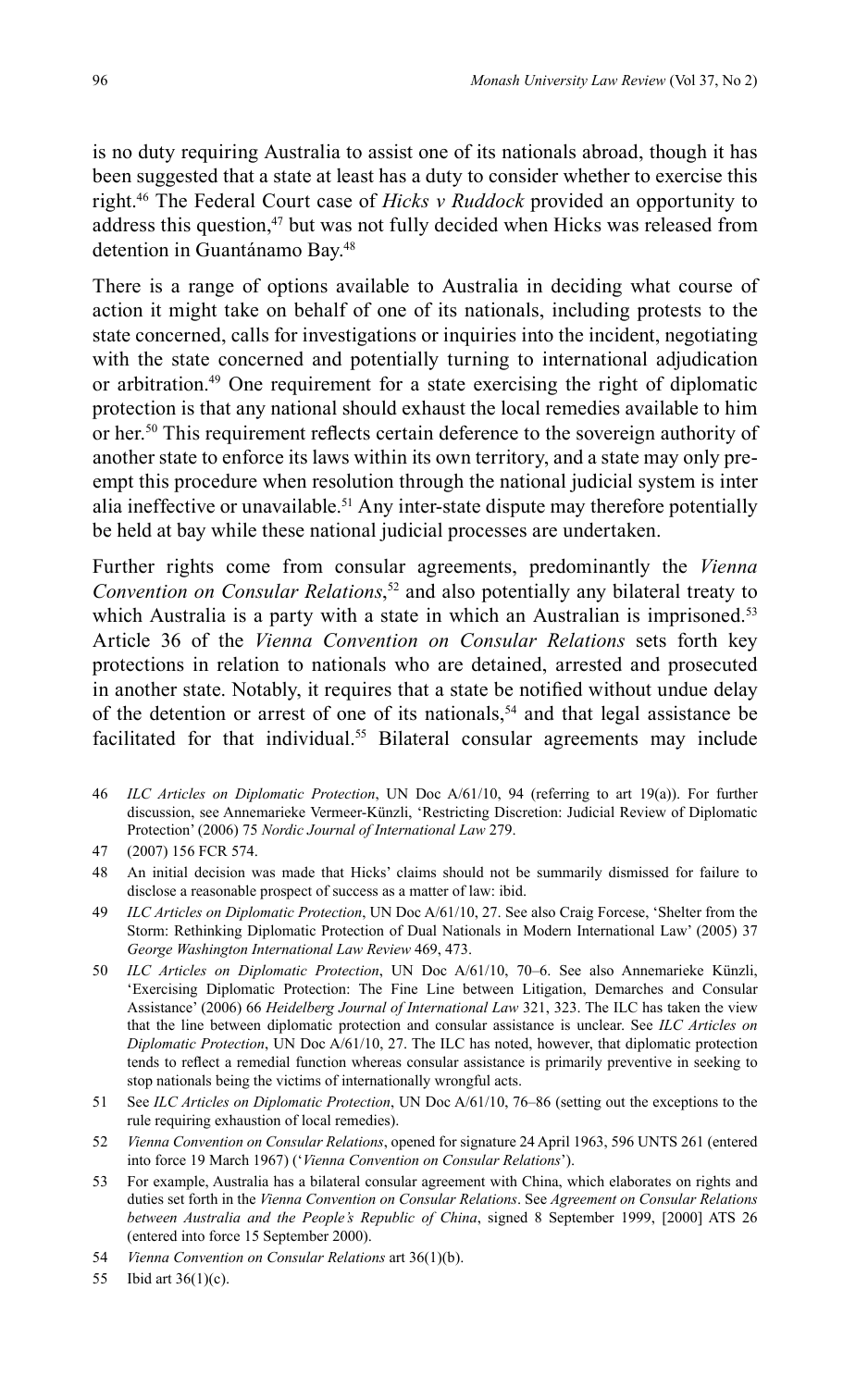is no duty requiring Australia to assist one of its nationals abroad, though it has been suggested that a state at least has a duty to consider whether to exercise this right.46 The Federal Court case of *Hicks v Ruddock* provided an opportunity to address this question,<sup>47</sup> but was not fully decided when Hicks was released from detention in Guantánamo Bay.<sup>48</sup>

There is a range of options available to Australia in deciding what course of action it might take on behalf of one of its nationals, including protests to the state concerned, calls for investigations or inquiries into the incident, negotiating with the state concerned and potentially turning to international adjudication or arbitration.<sup>49</sup> One requirement for a state exercising the right of diplomatic protection is that any national should exhaust the local remedies available to him or her.<sup>50</sup> This requirement reflects certain deference to the sovereign authority of another state to enforce its laws within its own territory, and a state may only preempt this procedure when resolution through the national judicial system is inter alia ineffective or unavailable.<sup>51</sup> Any inter-state dispute may therefore potentially be held at bay while these national judicial processes are undertaken.

Further rights come from consular agreements, predominantly the *Vienna Convention on Consular Relations*, 52 and also potentially any bilateral treaty to which Australia is a party with a state in which an Australian is imprisoned.<sup>53</sup> Article 36 of the *Vienna Convention on Consular Relations* sets forth key protections in relation to nationals who are detained, arrested and prosecuted in another state. Notably, it requires that a state be notified without undue delay of the detention or arrest of one of its nationals,<sup>54</sup> and that legal assistance be facilitated for that individual.<sup>55</sup> Bilateral consular agreements may include

- 46 *ILC Articles on Diplomatic Protection*, UN Doc A/61/10, 94 (referring to art 19(a)). For further discussion, see Annemarieke Vermeer-Künzli, 'Restricting Discretion: Judicial Review of Diplomatic Protection' (2006) 75 *Nordic Journal of International Law* 279.
- 47 (2007) 156 FCR 574.
- 48 An initial decision was made that Hicks' claims should not be summarily dismissed for failure to disclose a reasonable prospect of success as a matter of law: ibid.
- 49 *ILC Articles on Diplomatic Protection*, UN Doc A/61/10, 27. See also Craig Forcese, 'Shelter from the Storm: Rethinking Diplomatic Protection of Dual Nationals in Modern International Law' (2005) 37 *George Washington International Law Review* 469, 473.
- 50 *ILC Articles on Diplomatic Protection*, UN Doc A/61/10, 70–6. See also Annemarieke Künzli, 'Exercising Diplomatic Protection: The Fine Line between Litigation, Demarches and Consular Assistance' (2006) 66 *Heidelberg Journal of International Law* 321, 323. The ILC has taken the view that the line between diplomatic protection and consular assistance is unclear. See *ILC Articles on Diplomatic Protection*, UN Doc  $\widehat{A/61/10}$ , 27. The ILC has noted, however, that diplomatic protection tends to reflect a remedial function whereas consular assistance is primarily preventive in seeking to stop nationals being the victims of internationally wrongful acts.
- 51 See *ILC Articles on Diplomatic Protection*, UN Doc A/61/10, 76–86 (setting out the exceptions to the rule requiring exhaustion of local remedies).
- 52 *Vienna Convention on Consular Relations*, opened for signature 24 April 1963, 596 UNTS 261 (entered into force 19 March 1967) ('*Vienna Convention on Consular Relations*').
- 53 For example, Australia has a bilateral consular agreement with China, which elaborates on rights and duties set forth in the *Vienna Convention on Consular Relations*. See *Agreement on Consular Relations between Australia and the People's Republic of China*, signed 8 September 1999, [2000] ATS 26 (entered into force 15 September 2000).
- 54 *Vienna Convention on Consular Relations* art 36(1)(b).
- 55 Ibid art 36(1)(c).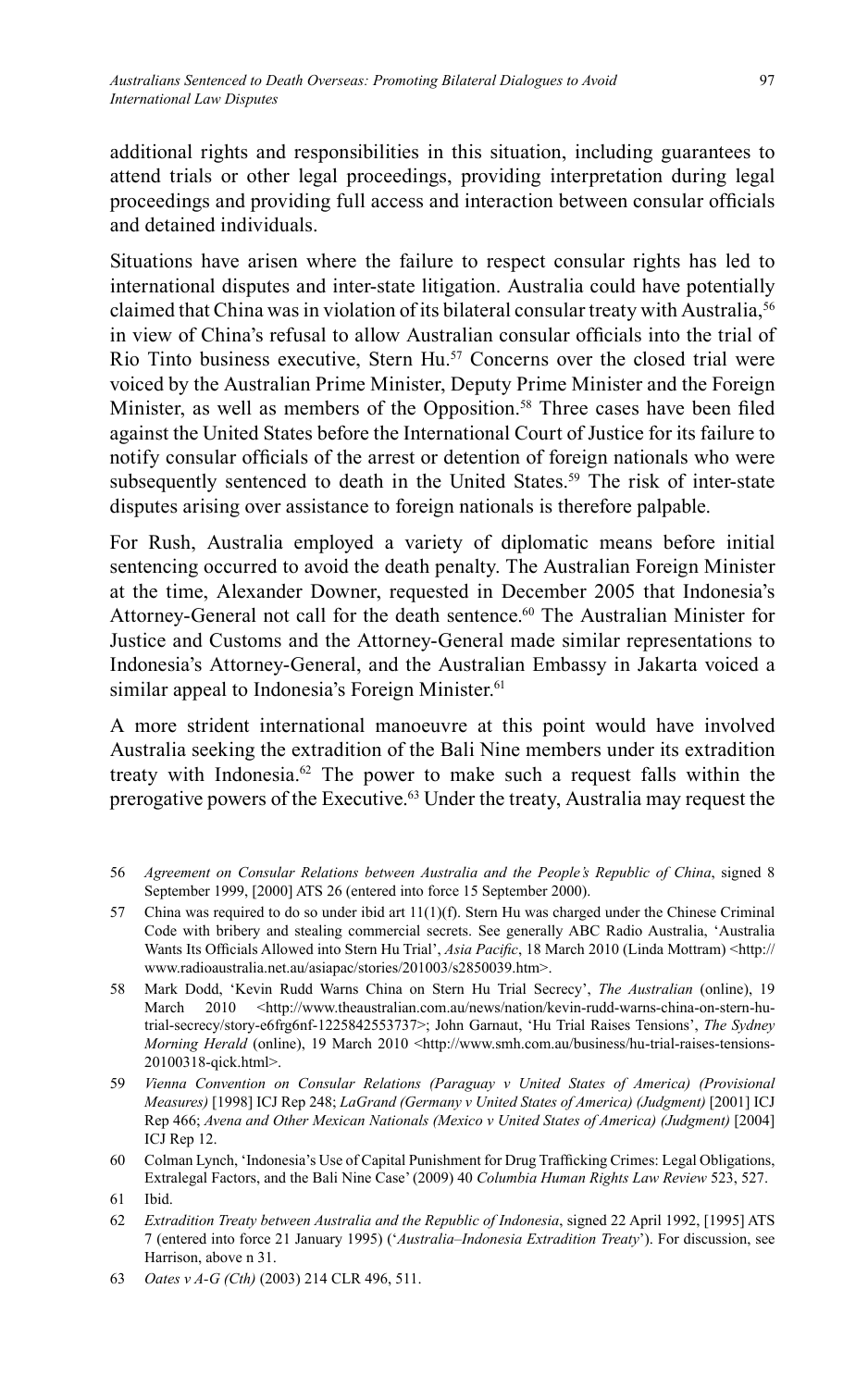additional rights and responsibilities in this situation, including guarantees to attend trials or other legal proceedings, providing interpretation during legal proceedings and providing full access and interaction between consular officials and detained individuals.

Situations have arisen where the failure to respect consular rights has led to international disputes and inter-state litigation. Australia could have potentially claimed that China was in violation of its bilateral consular treaty with Australia,<sup>56</sup> in view of China's refusal to allow Australian consular officials into the trial of Rio Tinto business executive, Stern Hu.<sup>57</sup> Concerns over the closed trial were voiced by the Australian Prime Minister, Deputy Prime Minister and the Foreign Minister, as well as members of the Opposition.<sup>58</sup> Three cases have been filed against the United States before the International Court of Justice for its failure to notify consular officials of the arrest or detention of foreign nationals who were subsequently sentenced to death in the United States.<sup>59</sup> The risk of inter-state disputes arising over assistance to foreign nationals is therefore palpable.

For Rush, Australia employed a variety of diplomatic means before initial sentencing occurred to avoid the death penalty. The Australian Foreign Minister at the time, Alexander Downer, requested in December 2005 that Indonesia's Attorney-General not call for the death sentence.60 The Australian Minister for Justice and Customs and the Attorney-General made similar representations to Indonesia's Attorney-General, and the Australian Embassy in Jakarta voiced a similar appeal to Indonesia's Foreign Minister.<sup>61</sup>

A more strident international manoeuvre at this point would have involved Australia seeking the extradition of the Bali Nine members under its extradition treaty with Indonesia.<sup>62</sup> The power to make such a request falls within the prerogative powers of the Executive.63 Under the treaty, Australia may request the

- 57 China was required to do so under ibid art 11(1)(f). Stern Hu was charged under the Chinese Criminal Code with bribery and stealing commercial secrets. See generally ABC Radio Australia, 'Australia Wants Its Officials Allowed into Stern Hu Trial', *Asia Pacific*, 18 March 2010 (Linda Mottram) <http:// www.radioaustralia.net.au/asiapac/stories/201003/s2850039.htm>.
- 58 Mark Dodd, 'Kevin Rudd Warns China on Stern Hu Trial Secrecy', *The Australian* (online), 19 March 2010 <http://www.theaustralian.com.au/news/nation/kevin-rudd-warns-china-on-stern-hutrial-secrecy/story-e6frg6nf-1225842553737>; John Garnaut, 'Hu Trial Raises Tensions', *The Sydney Morning Herald* (online), 19 March 2010 <http://www.smh.com.au/business/hu-trial-raises-tensions-20100318-qick.html>.
- 59 *Vienna Convention on Consular Relations (Paraguay v United States of America) (Provisional Measures)* [1998] ICJ Rep 248; *LaGrand (Germany v United States of America) (Judgment)* [2001] ICJ Rep 466; *Avena and Other Mexican Nationals (Mexico v United States of America) (Judgment)* [2004] ICJ Rep 12.
- 60 Colman Lynch, 'Indonesia's Use of Capital Punishment for Drug Trafficking Crimes: Legal Obligations, Extralegal Factors, and the Bali Nine Case' (2009) 40 *Columbia Human Rights Law Review* 523, 527.

- 62 *Extradition Treaty between Australia and the Republic of Indonesia*, signed 22 April 1992, [1995] ATS 7 (entered into force 21 January 1995) ('*Australia–Indonesia Extradition Treaty*'). For discussion, see Harrison, above n 31.
- 63 *Oates v A-G (Cth)* (2003) 214 CLR 496, 511.

<sup>56</sup> *Agreement on Consular Relations between Australia and the People's Republic of China*, signed 8 September 1999, [2000] ATS 26 (entered into force 15 September 2000).

<sup>61</sup> Ibid.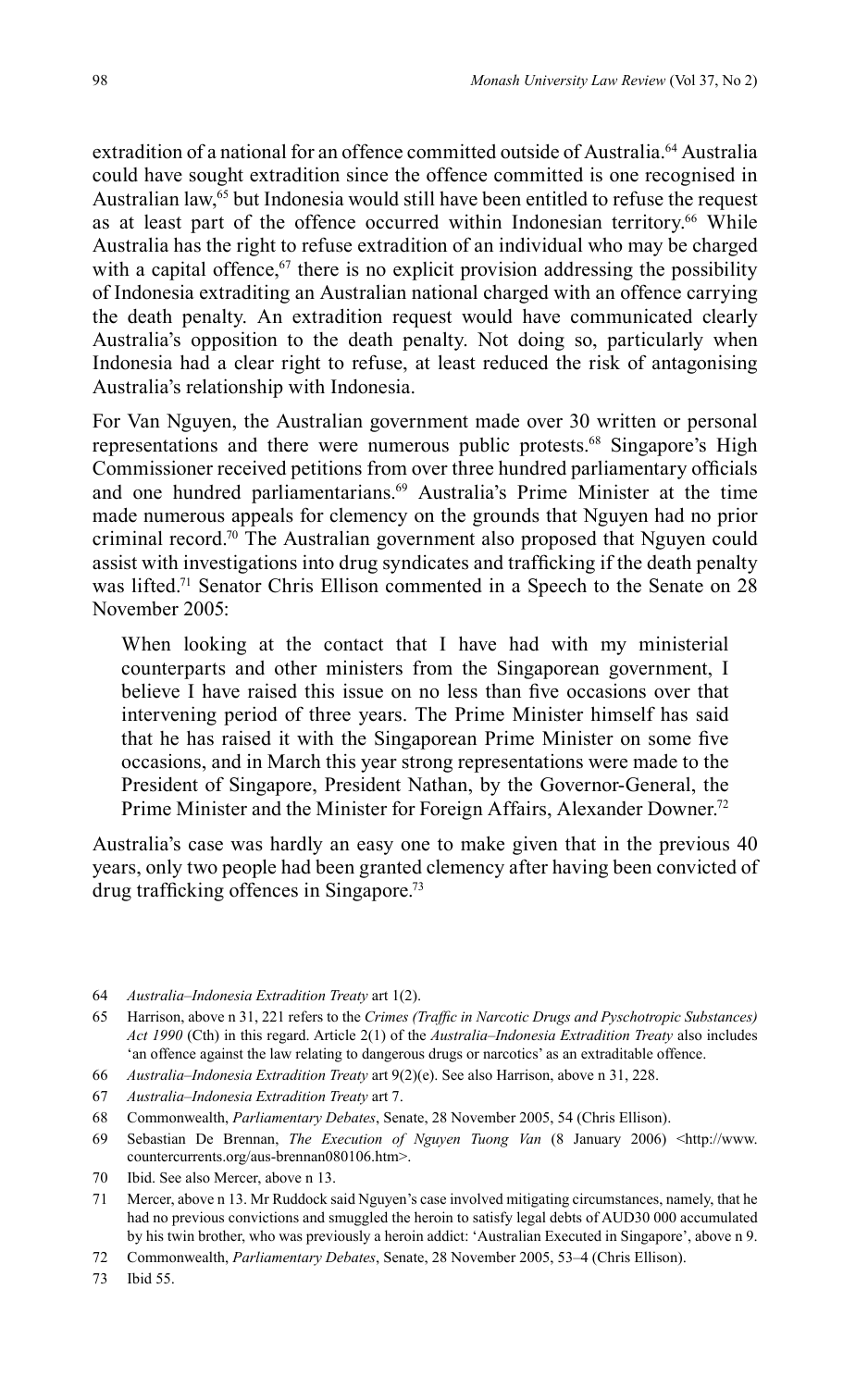extradition of a national for an offence committed outside of Australia.<sup>64</sup> Australia could have sought extradition since the offence committed is one recognised in Australian law, $65$  but Indonesia would still have been entitled to refuse the request as at least part of the offence occurred within Indonesian territory.<sup>66</sup> While Australia has the right to refuse extradition of an individual who may be charged with a capital offence, $67$  there is no explicit provision addressing the possibility of Indonesia extraditing an Australian national charged with an offence carrying the death penalty. An extradition request would have communicated clearly Australia's opposition to the death penalty. Not doing so, particularly when Indonesia had a clear right to refuse, at least reduced the risk of antagonising Australia's relationship with Indonesia.

For Van Nguyen, the Australian government made over 30 written or personal representations and there were numerous public protests.<sup>68</sup> Singapore's High Commissioner received petitions from over three hundred parliamentary officials and one hundred parliamentarians.<sup>69</sup> Australia's Prime Minister at the time made numerous appeals for clemency on the grounds that Nguyen had no prior criminal record.70 The Australian government also proposed that Nguyen could assist with investigations into drug syndicates and trafficking if the death penalty was lifted.<sup>71</sup> Senator Chris Ellison commented in a Speech to the Senate on 28 November 2005:

When looking at the contact that I have had with my ministerial counterparts and other ministers from the Singaporean government, I believe I have raised this issue on no less than five occasions over that intervening period of three years. The Prime Minister himself has said that he has raised it with the Singaporean Prime Minister on some five occasions, and in March this year strong representations were made to the President of Singapore, President Nathan, by the Governor-General, the Prime Minister and the Minister for Foreign Affairs, Alexander Downer.<sup>72</sup>

Australia's case was hardly an easy one to make given that in the previous 40 years, only two people had been granted clemency after having been convicted of drug trafficking offences in Singapore.<sup>73</sup>

- 64 *Australia–Indonesia Extradition Treaty* art 1(2).
- 65 Harrison, above n 31, 221 refers to the *Crimes (Traffi c in Narcotic Drugs and Pyschotropic Substances) Act 1990* (Cth) in this regard. Article 2(1) of the *Australia–Indonesia Extradition Treaty* also includes 'an offence against the law relating to dangerous drugs or narcotics' as an extraditable offence.
- 66 *Australia–Indonesia Extradition Treaty* art 9(2)(e). See also Harrison, above n 31, 228.
- 67 *Australia–Indonesia Extradition Treaty* art 7.
- 68 Commonwealth, *Parliamentary Debates*, Senate, 28 November 2005, 54 (Chris Ellison).
- 69 Sebastian De Brennan, *The Execution of Nguyen Tuong Van* (8 January 2006) <http://www. countercurrents.org/aus-brennan080106.htm>.
- 70 Ibid. See also Mercer, above n 13.
- 71 Mercer, above n 13. Mr Ruddock said Nguyen's case involved mitigating circumstances, namely, that he had no previous convictions and smuggled the heroin to satisfy legal debts of AUD30 000 accumulated by his twin brother, who was previously a heroin addict: 'Australian Executed in Singapore', above n 9.
- 72 Commonwealth, *Parliamentary Debates*, Senate, 28 November 2005, 53–4 (Chris Ellison).
- 73 Ibid 55.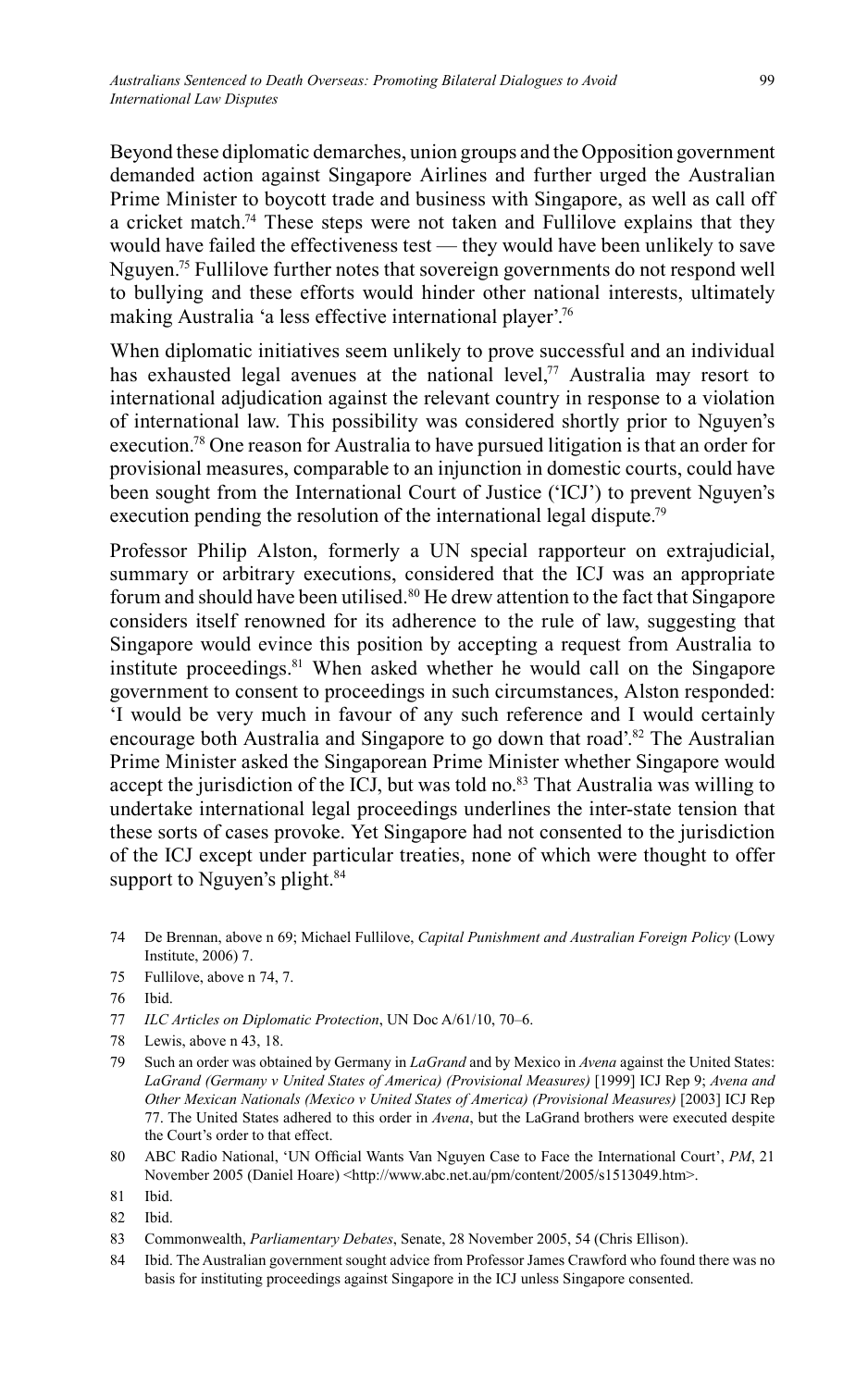Beyond these diplomatic demarches, union groups and the Opposition government demanded action against Singapore Airlines and further urged the Australian Prime Minister to boycott trade and business with Singapore, as well as call off a cricket match.<sup>74</sup> These steps were not taken and Fullilove explains that they would have failed the effectiveness test — they would have been unlikely to save Nguyen.75 Fullilove further notes that sovereign governments do not respond well to bullying and these efforts would hinder other national interests, ultimately making Australia 'a less effective international player'.76

When diplomatic initiatives seem unlikely to prove successful and an individual has exhausted legal avenues at the national level, $77$  Australia may resort to international adjudication against the relevant country in response to a violation of international law. This possibility was considered shortly prior to Nguyen's execution.78 One reason for Australia to have pursued litigation is that an order for provisional measures, comparable to an injunction in domestic courts, could have been sought from the International Court of Justice ('ICJ') to prevent Nguyen's execution pending the resolution of the international legal dispute.<sup>79</sup>

Professor Philip Alston, formerly a UN special rapporteur on extrajudicial, summary or arbitrary executions, considered that the ICJ was an appropriate forum and should have been utilised.<sup>80</sup> He drew attention to the fact that Singapore considers itself renowned for its adherence to the rule of law, suggesting that Singapore would evince this position by accepting a request from Australia to institute proceedings.<sup>81</sup> When asked whether he would call on the Singapore government to consent to proceedings in such circumstances, Alston responded: 'I would be very much in favour of any such reference and I would certainly encourage both Australia and Singapore to go down that road'.<sup>82</sup> The Australian Prime Minister asked the Singaporean Prime Minister whether Singapore would accept the jurisdiction of the ICJ, but was told no.<sup>83</sup> That Australia was willing to undertake international legal proceedings underlines the inter-state tension that these sorts of cases provoke. Yet Singapore had not consented to the jurisdiction of the ICJ except under particular treaties, none of which were thought to offer support to Nguyen's plight.<sup>84</sup>

- 74 De Brennan, above n 69; Michael Fullilove, *Capital Punishment and Australian Foreign Policy* (Lowy Institute, 2006) 7.
- 75 Fullilove, above n 74, 7.
- 76 Ibid.
- 77 *ILC Articles on Diplomatic Protection*, UN Doc A/61/10, 70–6.
- 78 Lewis, above n 43, 18.
- 79 Such an order was obtained by Germany in *LaGrand* and by Mexico in *Avena* against the United States: *LaGrand (Germany v United States of America) (Provisional Measures)* [1999] ICJ Rep 9; *Avena and Other Mexican Nationals (Mexico v United States of America) (Provisional Measures)* [2003] ICJ Rep 77. The United States adhered to this order in *Avena*, but the LaGrand brothers were executed despite the Court's order to that effect.
- 80 ABC Radio National, 'UN Official Wants Van Nguyen Case to Face the International Court', PM, 21 November 2005 (Daniel Hoare) <http://www.abc.net.au/pm/content/2005/s1513049.htm>.
- 81 Ibid.
- 82 Ibid.
- 83 Commonwealth, *Parliamentary Debates*, Senate, 28 November 2005, 54 (Chris Ellison).
- 84 Ibid. The Australian government sought advice from Professor James Crawford who found there was no basis for instituting proceedings against Singapore in the ICJ unless Singapore consented.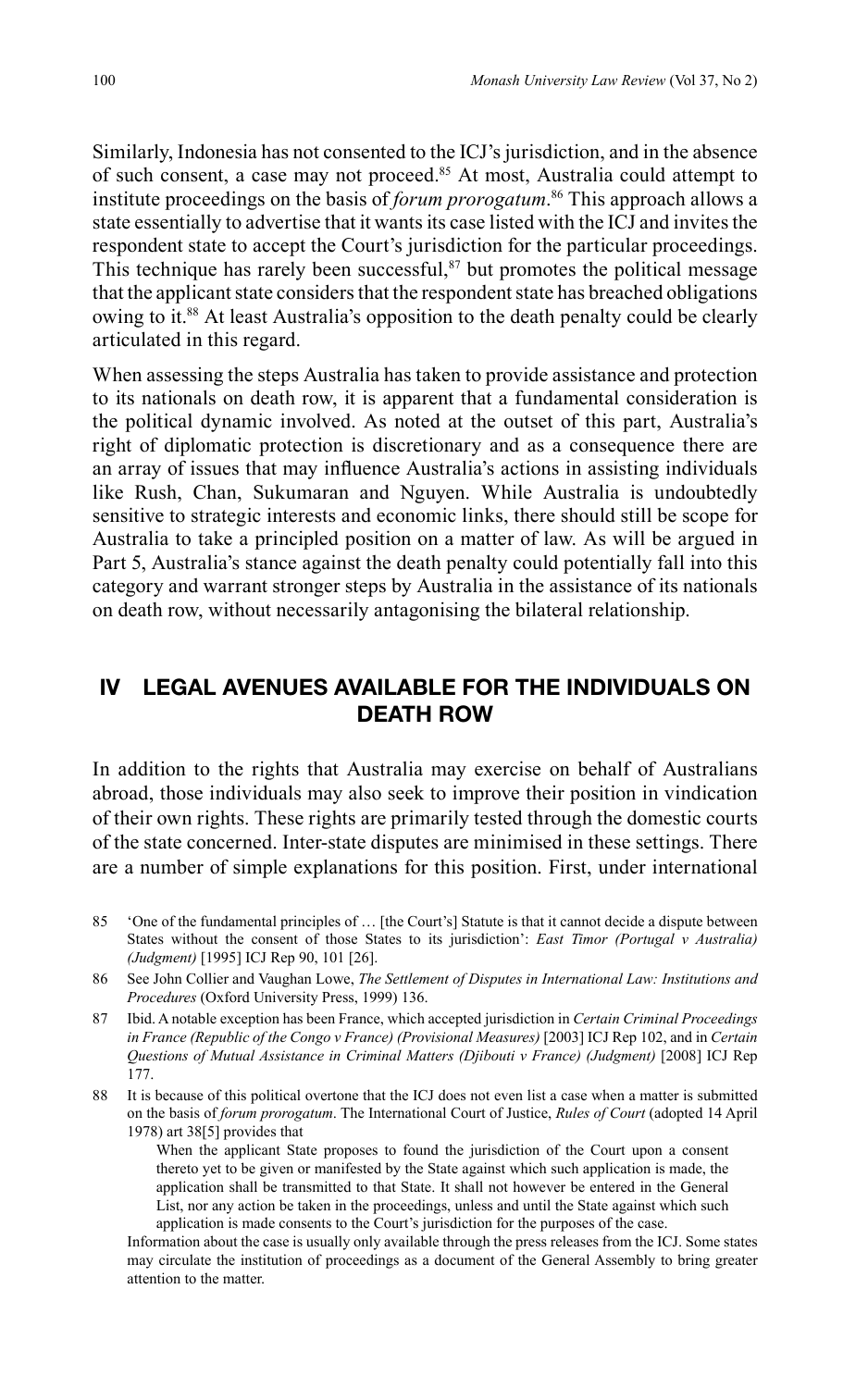Similarly, Indonesia has not consented to the ICJ's jurisdiction, and in the absence of such consent, a case may not proceed.<sup>85</sup> At most, Australia could attempt to institute proceedings on the basis of *forum prorogatum*. 86 This approach allows a state essentially to advertise that it wants its case listed with the ICJ and invites the respondent state to accept the Court's jurisdiction for the particular proceedings. This technique has rarely been successful, $87$  but promotes the political message that the applicant state considers that the respondent state has breached obligations owing to it.<sup>88</sup> At least Australia's opposition to the death penalty could be clearly articulated in this regard.

When assessing the steps Australia has taken to provide assistance and protection to its nationals on death row, it is apparent that a fundamental consideration is the political dynamic involved. As noted at the outset of this part, Australia's right of diplomatic protection is discretionary and as a consequence there are an array of issues that may influence Australia's actions in assisting individuals like Rush, Chan, Sukumaran and Nguyen. While Australia is undoubtedly sensitive to strategic interests and economic links, there should still be scope for Australia to take a principled position on a matter of law. As will be argued in Part 5, Australia's stance against the death penalty could potentially fall into this category and warrant stronger steps by Australia in the assistance of its nationals on death row, without necessarily antagonising the bilateral relationship.

### **IV LEGAL AVENUES AVAILABLE FOR THE INDIVIDUALS ON DEATH ROW**

In addition to the rights that Australia may exercise on behalf of Australians abroad, those individuals may also seek to improve their position in vindication of their own rights. These rights are primarily tested through the domestic courts of the state concerned. Inter-state disputes are minimised in these settings. There are a number of simple explanations for this position. First, under international

85 'One of the fundamental principles of … [the Court's] Statute is that it cannot decide a dispute between States without the consent of those States to its jurisdiction': *East Timor (Portugal v Australia) (Judgment)* [1995] ICJ Rep 90, 101 [26].

88 It is because of this political overtone that the ICJ does not even list a case when a matter is submitted on the basis of *forum prorogatum*. The International Court of Justice, *Rules of Court* (adopted 14 April 1978) art 38[5] provides that

 When the applicant State proposes to found the jurisdiction of the Court upon a consent thereto yet to be given or manifested by the State against which such application is made, the application shall be transmitted to that State. It shall not however be entered in the General List, nor any action be taken in the proceedings, unless and until the State against which such application is made consents to the Court's jurisdiction for the purposes of the case.

 Information about the case is usually only available through the press releases from the ICJ. Some states may circulate the institution of proceedings as a document of the General Assembly to bring greater attention to the matter.

<sup>86</sup> See John Collier and Vaughan Lowe, *The Settlement of Disputes in International Law: Institutions and Procedures* (Oxford University Press, 1999) 136.

<sup>87</sup> Ibid. A notable exception has been France, which accepted jurisdiction in *Certain Criminal Proceedings in France (Republic of the Congo v France) (Provisional Measures)* [2003] ICJ Rep 102, and in *Certain Questions of Mutual Assistance in Criminal Matters (Djibouti v France) (Judgment)* [2008] ICJ Rep 177.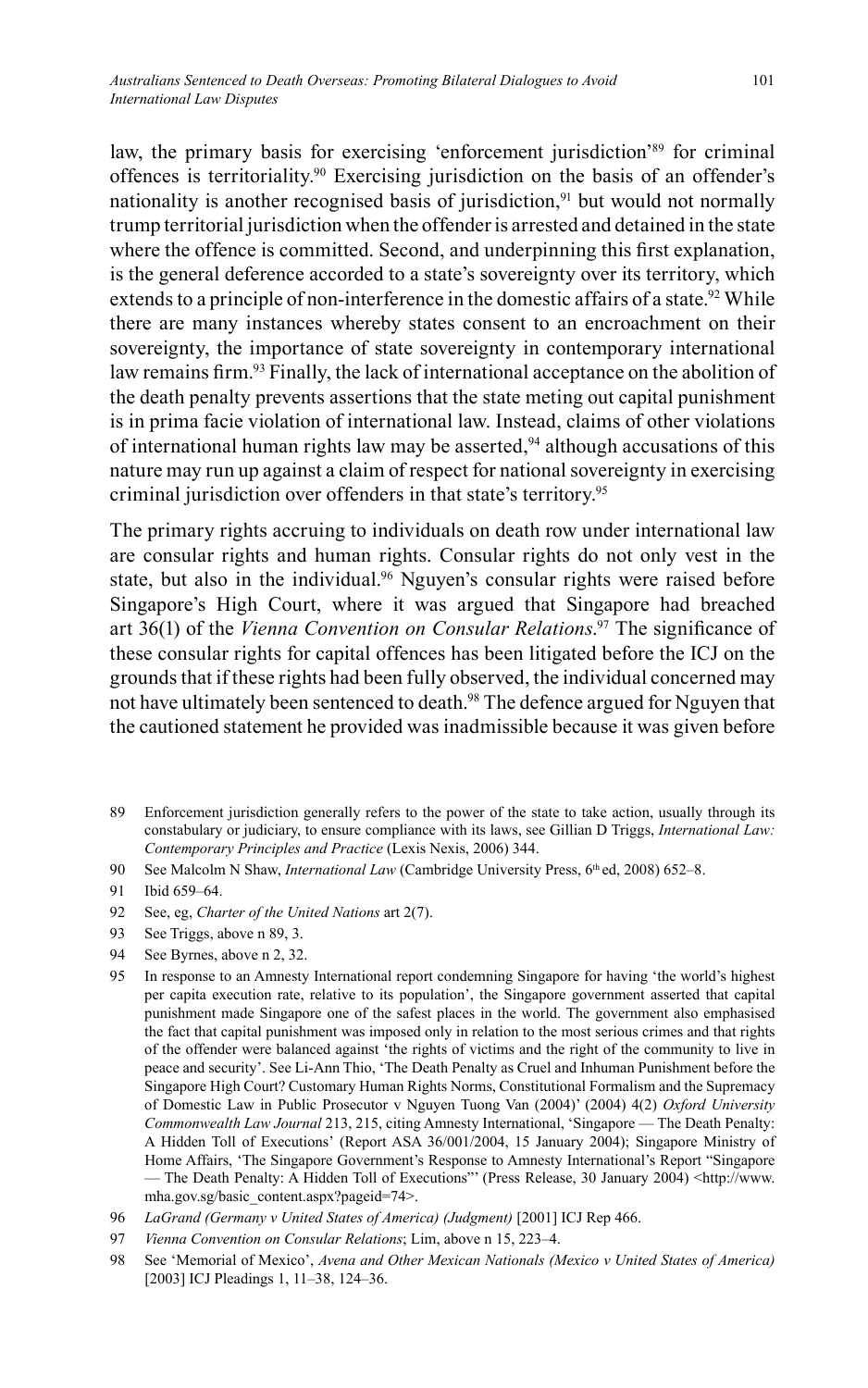law, the primary basis for exercising 'enforcement jurisdiction'<sup>89</sup> for criminal offences is territoriality.<sup>90</sup> Exercising jurisdiction on the basis of an offender's nationality is another recognised basis of jurisdiction,<sup>91</sup> but would not normally trump territorial jurisdiction when the offender is arrested and detained in the state where the offence is committed. Second, and underpinning this first explanation, is the general deference accorded to a state's sovereignty over its territory, which extends to a principle of non-interference in the domestic affairs of a state.<sup>92</sup> While there are many instances whereby states consent to an encroachment on their sovereignty, the importance of state sovereignty in contemporary international law remains firm.<sup>93</sup> Finally, the lack of international acceptance on the abolition of the death penalty prevents assertions that the state meting out capital punishment is in prima facie violation of international law. Instead, claims of other violations of international human rights law may be asserted,  $94$  although accusations of this nature may run up against a claim of respect for national sovereignty in exercising criminal jurisdiction over offenders in that state's territory.95

The primary rights accruing to individuals on death row under international law are consular rights and human rights. Consular rights do not only vest in the state, but also in the individual.<sup>96</sup> Nguyen's consular rights were raised before Singapore's High Court, where it was argued that Singapore had breached art 36(1) of the *Vienna Convention on Consular Relations*.<sup>97</sup> The significance of these consular rights for capital offences has been litigated before the ICJ on the grounds that if these rights had been fully observed, the individual concerned may not have ultimately been sentenced to death.<sup>98</sup> The defence argued for Nguyen that the cautioned statement he provided was inadmissible because it was given before

- 89 Enforcement jurisdiction generally refers to the power of the state to take action, usually through its constabulary or judiciary, to ensure compliance with its laws, see Gillian D Triggs, *International Law: Contemporary Principles and Practice* (Lexis Nexis, 2006) 344.
- 90 See Malcolm N Shaw, *International Law* (Cambridge University Press, 6<sup>th</sup> ed, 2008) 652–8.

- 92 See, eg, *Charter of the United Nations* art 2(7).
- 93 See Triggs, above n 89, 3.
- 94 See Byrnes, above n 2, 32.
- 95 In response to an Amnesty International report condemning Singapore for having 'the world's highest per capita execution rate, relative to its population', the Singapore government asserted that capital punishment made Singapore one of the safest places in the world. The government also emphasised the fact that capital punishment was imposed only in relation to the most serious crimes and that rights of the offender were balanced against 'the rights of victims and the right of the community to live in peace and security'. See Li-Ann Thio, 'The Death Penalty as Cruel and Inhuman Punishment before the Singapore High Court? Customary Human Rights Norms, Constitutional Formalism and the Supremacy of Domestic Law in Public Prosecutor v Nguyen Tuong Van (2004)' (2004) 4(2) *Oxford University Commonwealth Law Journal* 213, 215, citing Amnesty International, 'Singapore — The Death Penalty: A Hidden Toll of Executions' (Report ASA 36/001/2004, 15 January 2004); Singapore Ministry of Home Affairs, 'The Singapore Government's Response to Amnesty International's Report "Singapore — The Death Penalty: A Hidden Toll of Executions"' (Press Release, 30 January 2004) <http://www. mha.gov.sg/basic\_content.aspx?pageid=74>.
- 96 *LaGrand (Germany v United States of America) (Judgment)* [2001] ICJ Rep 466.
- 97 *Vienna Convention on Consular Relations*; Lim, above n 15, 223–4.
- 98 See 'Memorial of Mexico', *Avena and Other Mexican Nationals (Mexico v United States of America)*  [2003] ICJ Pleadings 1, 11–38, 124–36.

<sup>91</sup> Ibid 659–64.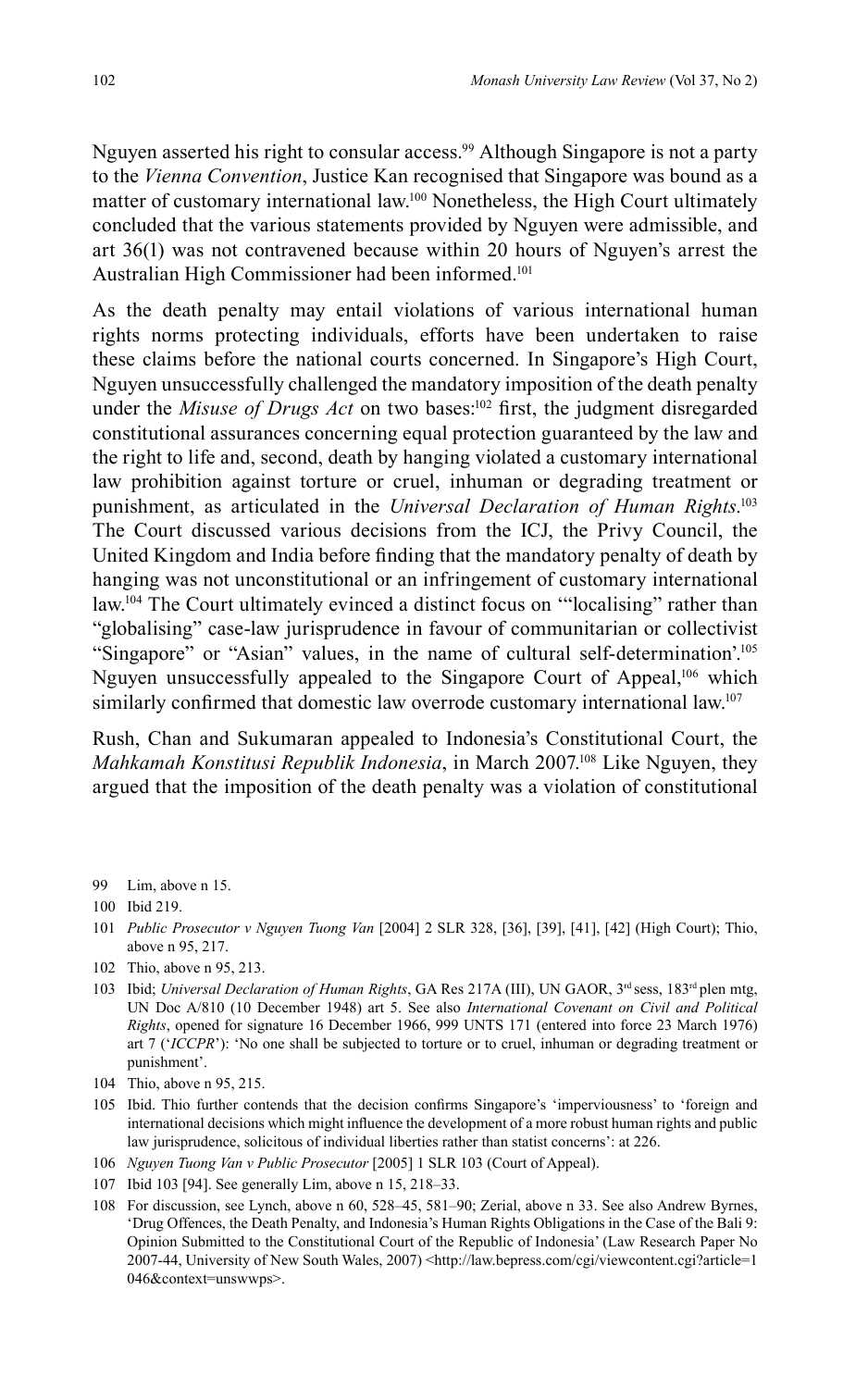Nguyen asserted his right to consular access.<sup>99</sup> Although Singapore is not a party to the *Vienna Convention*, Justice Kan recognised that Singapore was bound as a matter of customary international law.100 Nonetheless, the High Court ultimately concluded that the various statements provided by Nguyen were admissible, and art 36(1) was not contravened because within 20 hours of Nguyen's arrest the Australian High Commissioner had been informed.<sup>101</sup>

As the death penalty may entail violations of various international human rights norms protecting individuals, efforts have been undertaken to raise these claims before the national courts concerned. In Singapore's High Court, Nguyen unsuccessfully challenged the mandatory imposition of the death penalty under the *Misuse of Drugs Act* on two bases:<sup>102</sup> first, the judgment disregarded constitutional assurances concerning equal protection guaranteed by the law and the right to life and, second, death by hanging violated a customary international law prohibition against torture or cruel, inhuman or degrading treatment or punishment, as articulated in the *Universal Declaration of Human Rights*. 103 The Court discussed various decisions from the ICJ, the Privy Council, the United Kingdom and India before finding that the mandatory penalty of death by hanging was not unconstitutional or an infringement of customary international law.<sup>104</sup> The Court ultimately evinced a distinct focus on "localising" rather than "globalising" case-law jurisprudence in favour of communitarian or collectivist "Singapore" or "Asian" values, in the name of cultural self-determination'.105 Nguyen unsuccessfully appealed to the Singapore Court of Appeal,<sup>106</sup> which similarly confirmed that domestic law overrode customary international law.<sup>107</sup>

Rush, Chan and Sukumaran appealed to Indonesia's Constitutional Court, the *Mahkamah Konstitusi Republik Indonesia*, in March 2007.<sup>108</sup> Like Nguyen, they argued that the imposition of the death penalty was a violation of constitutional

99 Lim, above n 15.

- 101 *Public Prosecutor v Nguyen Tuong Van* [2004] 2 SLR 328, [36], [39], [41], [42] (High Court); Thio, above n 95, 217.
- 102 Thio, above n 95, 213.
- 103 Ibid; *Universal Declaration of Human Rights*, GA Res 217A (III), UN GAOR, 3<sup>rd</sup> sess, 183<sup>rd</sup> plen mtg, UN Doc A/810 (10 December 1948) art 5. See also *International Covenant on Civil and Political Rights*, opened for signature 16 December 1966, 999 UNTS 171 (entered into force 23 March 1976) art 7 ('*ICCPR*'): 'No one shall be subjected to torture or to cruel, inhuman or degrading treatment or punishment'.
- 104 Thio, above n 95, 215.
- 105 Ibid. Thio further contends that the decision confirms Singapore's 'imperviousness' to 'foreign and international decisions which might influence the development of a more robust human rights and public law jurisprudence, solicitous of individual liberties rather than statist concerns': at 226.
- 106 *Nguyen Tuong Van v Public Prosecutor* [2005] 1 SLR 103 (Court of Appeal).
- 107 Ibid 103 [94]. See generally Lim, above n 15, 218–33.
- 108 For discussion, see Lynch, above n 60, 528–45, 581–90; Zerial, above n 33. See also Andrew Byrnes, 'Drug Offences, the Death Penalty, and Indonesia's Human Rights Obligations in the Case of the Bali 9: Opinion Submitted to the Constitutional Court of the Republic of Indonesia' (Law Research Paper No 2007-44, University of New South Wales, 2007) <http://law.bepress.com/cgi/viewcontent.cgi?article=1 046&context=unswwps>.

<sup>100</sup> Ibid 219.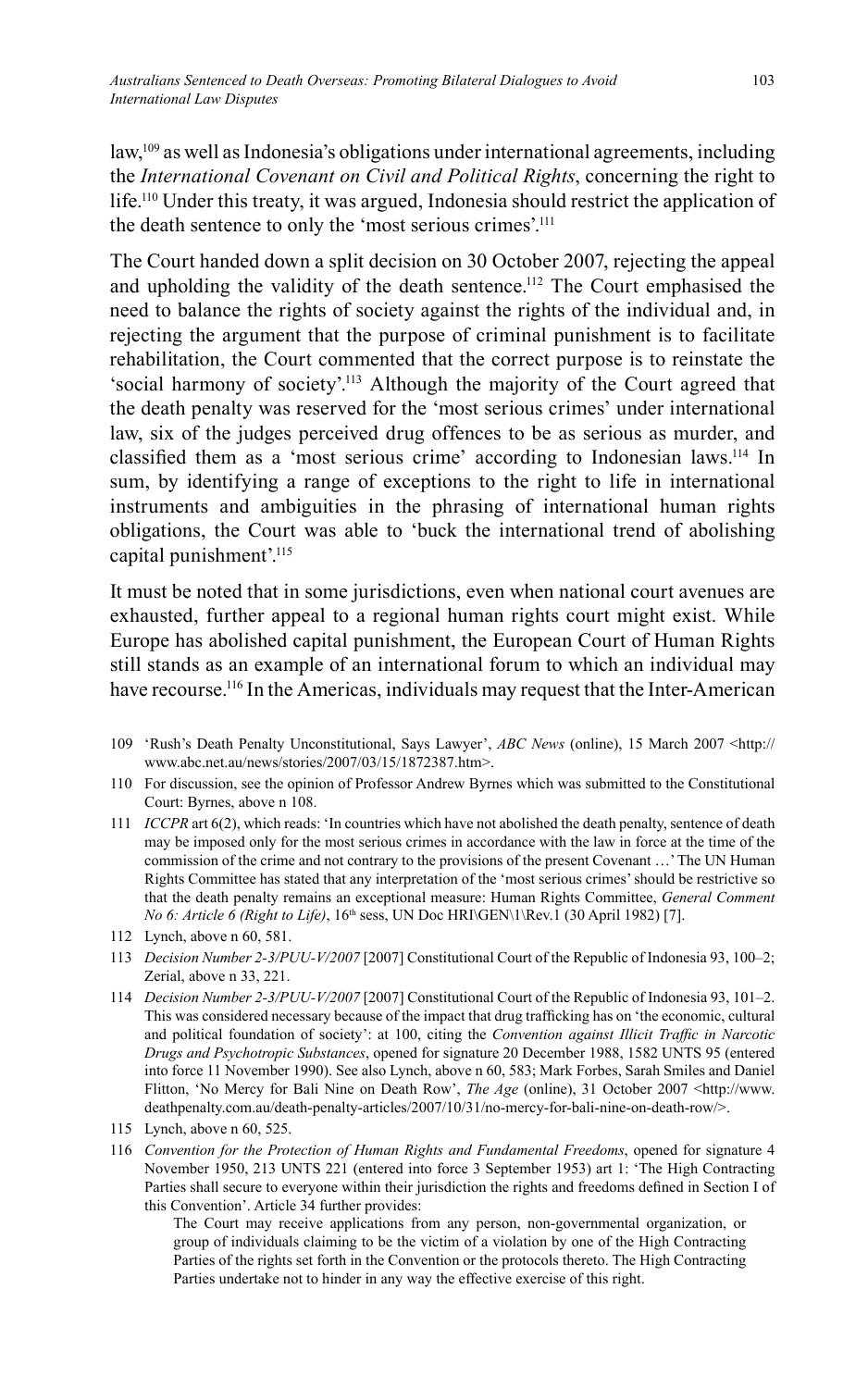law,109 as well as Indonesia's obligations under international agreements, including the *International Covenant on Civil and Political Rights*, concerning the right to life. 110 Under this treaty, it was argued, Indonesia should restrict the application of the death sentence to only the 'most serious crimes'.111

The Court handed down a split decision on 30 October 2007, rejecting the appeal and upholding the validity of the death sentence.<sup>112</sup> The Court emphasised the need to balance the rights of society against the rights of the individual and, in rejecting the argument that the purpose of criminal punishment is to facilitate rehabilitation, the Court commented that the correct purpose is to reinstate the 'social harmony of society'.113 Although the majority of the Court agreed that the death penalty was reserved for the 'most serious crimes' under international law, six of the judges perceived drug offences to be as serious as murder, and classified them as a 'most serious crime' according to Indonesian laws.<sup>114</sup> In sum, by identifying a range of exceptions to the right to life in international instruments and ambiguities in the phrasing of international human rights obligations, the Court was able to 'buck the international trend of abolishing capital punishment'.<sup>115</sup>

It must be noted that in some jurisdictions, even when national court avenues are exhausted, further appeal to a regional human rights court might exist. While Europe has abolished capital punishment, the European Court of Human Rights still stands as an example of an international forum to which an individual may have recourse.<sup>116</sup> In the Americas, individuals may request that the Inter-American

- 109 'Rush's Death Penalty Unconstitutional, Says Lawyer', *ABC News* (online), 15 March 2007 <http:// www.abc.net.au/news/stories/2007/03/15/1872387.htm>.
- 110 For discussion, see the opinion of Professor Andrew Byrnes which was submitted to the Constitutional Court: Byrnes, above n 108.
- 111 *ICCPR* art 6(2), which reads: 'In countries which have not abolished the death penalty, sentence of death may be imposed only for the most serious crimes in accordance with the law in force at the time of the commission of the crime and not contrary to the provisions of the present Covenant …' The UN Human Rights Committee has stated that any interpretation of the 'most serious crimes' should be restrictive so that the death penalty remains an exceptional measure: Human Rights Committee, *General Comment No 6: Article 6 (Right to Life)*, 16<sup>th</sup> sess, UN Doc HRI\GEN\1\Rev.1 (30 April 1982) [7].
- 112 Lynch, above n 60, 581.
- 113 *Decision Number 2-3/PUU-V/2007* [2007] Constitutional Court of the Republic of Indonesia 93, 100–2; Zerial, above n 33, 221.
- 114 *Decision Number 2-3/PUU-V/2007* [2007] Constitutional Court of the Republic of Indonesia 93, 101–2. This was considered necessary because of the impact that drug trafficking has on 'the economic, cultural and political foundation of society': at 100, citing the *Convention against Illicit Traffic in Narcotic Drugs and Psychotropic Substances*, opened for signature 20 December 1988, 1582 UNTS 95 (entered into force 11 November 1990). See also Lynch, above n 60, 583; Mark Forbes, Sarah Smiles and Daniel Flitton, 'No Mercy for Bali Nine on Death Row', *The Age* (online), 31 October 2007 <http://www. deathpenalty.com.au/death-penalty-articles/2007/10/31/no-mercy-for-bali-nine-on-death-row/>.
- 115 Lynch, above n 60, 525.
- 116 *Convention for the Protection of Human Rights and Fundamental Freedoms*, opened for signature 4 November 1950, 213 UNTS 221 (entered into force 3 September 1953) art 1: 'The High Contracting Parties shall secure to everyone within their jurisdiction the rights and freedoms defined in Section I of this Convention'. Article 34 further provides:

 The Court may receive applications from any person, non-governmental organization, or group of individuals claiming to be the victim of a violation by one of the High Contracting Parties of the rights set forth in the Convention or the protocols thereto. The High Contracting Parties undertake not to hinder in any way the effective exercise of this right.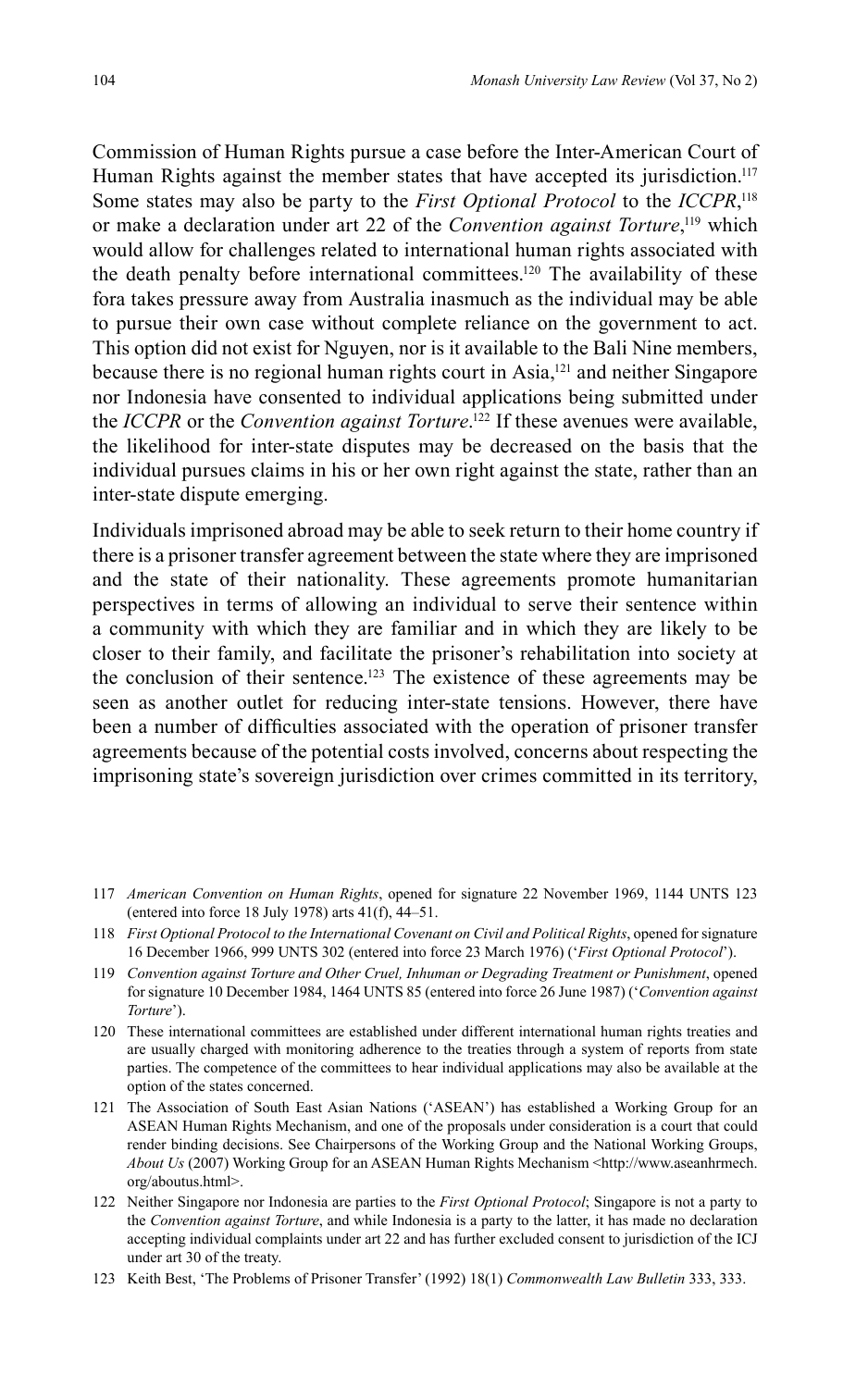Commission of Human Rights pursue a case before the Inter-American Court of Human Rights against the member states that have accepted its jurisdiction.<sup>117</sup> Some states may also be party to the *First Optional Protocol* to the *ICCPR*, 118 or make a declaration under art 22 of the *Convention against Torture*,<sup>119</sup> which would allow for challenges related to international human rights associated with the death penalty before international committees.<sup>120</sup> The availability of these fora takes pressure away from Australia inasmuch as the individual may be able to pursue their own case without complete reliance on the government to act. This option did not exist for Nguyen, nor is it available to the Bali Nine members, because there is no regional human rights court in Asia,<sup>121</sup> and neither Singapore nor Indonesia have consented to individual applications being submitted under the *ICCPR* or the *Convention against Torture*. 122 If these avenues were available, the likelihood for inter-state disputes may be decreased on the basis that the individual pursues claims in his or her own right against the state, rather than an inter-state dispute emerging.

Individuals imprisoned abroad may be able to seek return to their home country if there is a prisoner transfer agreement between the state where they are imprisoned and the state of their nationality. These agreements promote humanitarian perspectives in terms of allowing an individual to serve their sentence within a community with which they are familiar and in which they are likely to be closer to their family, and facilitate the prisoner's rehabilitation into society at the conclusion of their sentence. 123 The existence of these agreements may be seen as another outlet for reducing inter-state tensions. However, there have been a number of difficulties associated with the operation of prisoner transfer agreements because of the potential costs involved, concerns about respecting the imprisoning state's sovereign jurisdiction over crimes committed in its territory,

- 117 *American Convention on Human Rights*, opened for signature 22 November 1969, 1144 UNTS 123 (entered into force 18 July 1978) arts 41(f), 44–51.
- 118 *First Optional Protocol to the International Covenant on Civil and Political Rights*, opened for signature 16 December 1966, 999 UNTS 302 (entered into force 23 March 1976) ('*First Optional Protocol*').
- 119 *Convention against Torture and Other Cruel, Inhuman or Degrading Treatment or Punishment*, opened for signature 10 December 1984, 1464 UNTS 85 (entered into force 26 June 1987) ('*Convention against Torture*').
- 120 These international committees are established under different international human rights treaties and are usually charged with monitoring adherence to the treaties through a system of reports from state parties. The competence of the committees to hear individual applications may also be available at the option of the states concerned.
- 121 The Association of South East Asian Nations ('ASEAN') has established a Working Group for an ASEAN Human Rights Mechanism, and one of the proposals under consideration is a court that could render binding decisions. See Chairpersons of the Working Group and the National Working Groups, *About Us* (2007) Working Group for an ASEAN Human Rights Mechanism <http://www.aseanhrmech. org/aboutus.html>.
- 122 Neither Singapore nor Indonesia are parties to the *First Optional Protocol*; Singapore is not a party to the *Convention against Torture*, and while Indonesia is a party to the latter, it has made no declaration accepting individual complaints under art 22 and has further excluded consent to jurisdiction of the ICJ under art 30 of the treaty.
- 123 Keith Best, 'The Problems of Prisoner Transfer' (1992) 18(1) *Commonwealth Law Bulletin* 333, 333.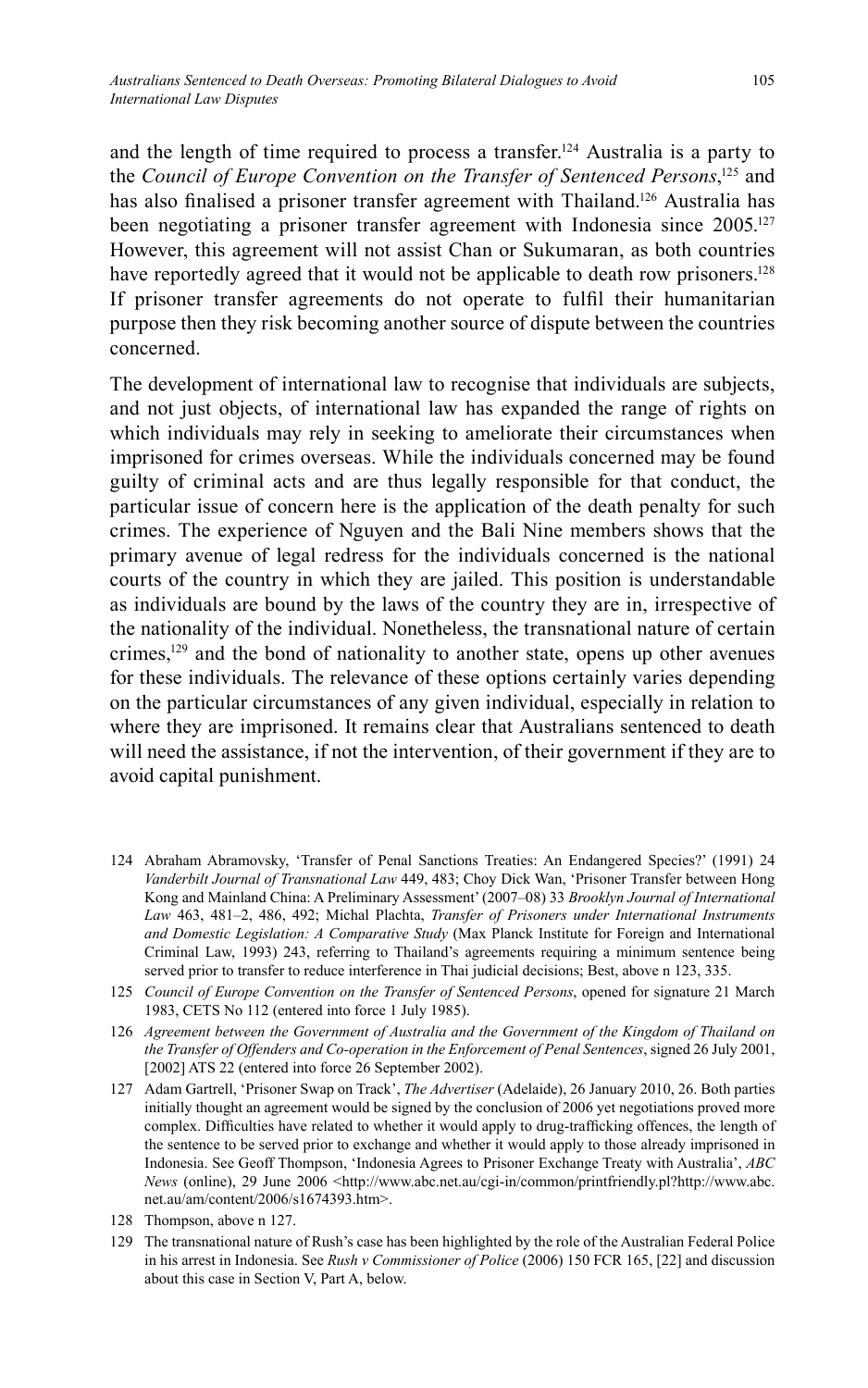and the length of time required to process a transfer.<sup>124</sup> Australia is a party to the *Council of Europe Convention on the Transfer of Sentenced Persons*,<sup>125</sup> and has also finalised a prisoner transfer agreement with Thailand.<sup>126</sup> Australia has been negotiating a prisoner transfer agreement with Indonesia since 2005.<sup>127</sup> However, this agreement will not assist Chan or Sukumaran, as both countries have reportedly agreed that it would not be applicable to death row prisoners.<sup>128</sup> If prisoner transfer agreements do not operate to fulfil their humanitarian purpose then they risk becoming another source of dispute between the countries concerned.

The development of international law to recognise that individuals are subjects, and not just objects, of international law has expanded the range of rights on which individuals may rely in seeking to ameliorate their circumstances when imprisoned for crimes overseas. While the individuals concerned may be found guilty of criminal acts and are thus legally responsible for that conduct, the particular issue of concern here is the application of the death penalty for such crimes. The experience of Nguyen and the Bali Nine members shows that the primary avenue of legal redress for the individuals concerned is the national courts of the country in which they are jailed. This position is understandable as individuals are bound by the laws of the country they are in, irrespective of the nationality of the individual. Nonetheless, the transnational nature of certain crimes,<sup>129</sup> and the bond of nationality to another state, opens up other avenues for these individuals. The relevance of these options certainly varies depending on the particular circumstances of any given individual, especially in relation to where they are imprisoned. It remains clear that Australians sentenced to death will need the assistance, if not the intervention, of their government if they are to avoid capital punishment.

- 124 Abraham Abramovsky, 'Transfer of Penal Sanctions Treaties: An Endangered Species?' (1991) 24 *Vanderbilt Journal of Transnational Law* 449, 483; Choy Dick Wan, 'Prisoner Transfer between Hong Kong and Mainland China: A Preliminary Assessment' (2007–08) 33 *Brooklyn Journal of International Law* 463, 481–2, 486, 492; Michal Plachta, *Transfer of Prisoners under International Instruments and Domestic Legislation: A Comparative Study* (Max Planck Institute for Foreign and International Criminal Law, 1993) 243, referring to Thailand's agreements requiring a minimum sentence being served prior to transfer to reduce interference in Thai judicial decisions; Best, above n 123, 335.
- 125 *Council of Europe Convention on the Transfer of Sentenced Persons*, opened for signature 21 March 1983, CETS No 112 (entered into force 1 July 1985).
- 126 *Agreement between the Government of Australia and the Government of the Kingdom of Thailand on the Transfer of Offenders and Co-operation in the Enforcement of Penal Sentences*, signed 26 July 2001, [2002] ATS 22 (entered into force 26 September 2002).
- 127 Adam Gartrell, 'Prisoner Swap on Track', *The Advertiser* (Adelaide), 26 January 2010, 26. Both parties initially thought an agreement would be signed by the conclusion of 2006 yet negotiations proved more complex. Difficulties have related to whether it would apply to drug-trafficking offences, the length of the sentence to be served prior to exchange and whether it would apply to those already imprisoned in Indonesia. See Geoff Thompson, 'Indonesia Agrees to Prisoner Exchange Treaty with Australia', *ABC News* (online), 29 June 2006 <http://www.abc.net.au/cgi-in/common/printfriendly.pl?http://www.abc. net.au/am/content/2006/s1674393.htm>.
- 128 Thompson, above n 127.
- 129 The transnational nature of Rush's case has been highlighted by the role of the Australian Federal Police in his arrest in Indonesia. See *Rush v Commissioner of Police* (2006) 150 FCR 165, [22] and discussion about this case in Section V, Part A, below.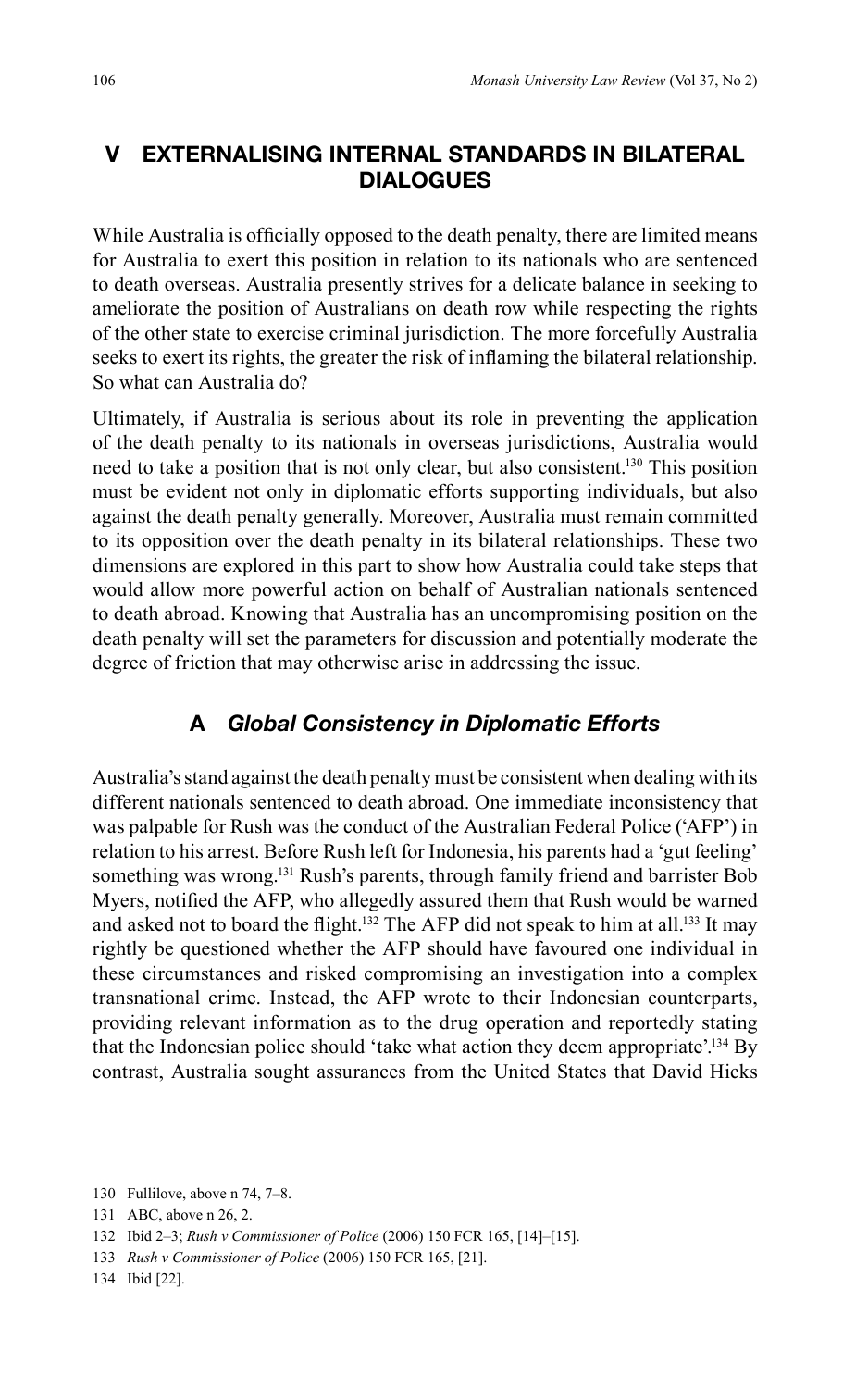### **V EXTERNALISING INTERNAL STANDARDS IN BILATERAL DIALOGUES**

While Australia is officially opposed to the death penalty, there are limited means for Australia to exert this position in relation to its nationals who are sentenced to death overseas. Australia presently strives for a delicate balance in seeking to ameliorate the position of Australians on death row while respecting the rights of the other state to exercise criminal jurisdiction. The more forcefully Australia seeks to exert its rights, the greater the risk of inflaming the bilateral relationship. So what can Australia do?

Ultimately, if Australia is serious about its role in preventing the application of the death penalty to its nationals in overseas jurisdictions, Australia would need to take a position that is not only clear, but also consistent.130 This position must be evident not only in diplomatic efforts supporting individuals, but also against the death penalty generally. Moreover, Australia must remain committed to its opposition over the death penalty in its bilateral relationships. These two dimensions are explored in this part to show how Australia could take steps that would allow more powerful action on behalf of Australian nationals sentenced to death abroad. Knowing that Australia has an uncompromising position on the death penalty will set the parameters for discussion and potentially moderate the degree of friction that may otherwise arise in addressing the issue.

#### **A** *Global Consistency in Diplomatic Efforts*

Australia's stand against the death penalty must be consistent when dealing with its different nationals sentenced to death abroad. One immediate inconsistency that was palpable for Rush was the conduct of the Australian Federal Police ('AFP') in relation to his arrest. Before Rush left for Indonesia, his parents had a 'gut feeling' something was wrong.<sup>131</sup> Rush's parents, through family friend and barrister Bob Myers, notified the AFP, who allegedly assured them that Rush would be warned and asked not to board the flight.<sup>132</sup> The AFP did not speak to him at all.<sup>133</sup> It may rightly be questioned whether the AFP should have favoured one individual in these circumstances and risked compromising an investigation into a complex transnational crime. Instead, the AFP wrote to their Indonesian counterparts, providing relevant information as to the drug operation and reportedly stating that the Indonesian police should 'take what action they deem appropriate'.<sup>134</sup> By contrast, Australia sought assurances from the United States that David Hicks

<sup>130</sup> Fullilove, above n 74, 7–8.

<sup>131</sup> ABC, above n 26, 2.

<sup>132</sup> Ibid 2–3; *Rush v Commissioner of Police* (2006) 150 FCR 165, [14]–[15].

<sup>133</sup> *Rush v Commissioner of Police* (2006) 150 FCR 165, [21].

<sup>134</sup> Ibid [22].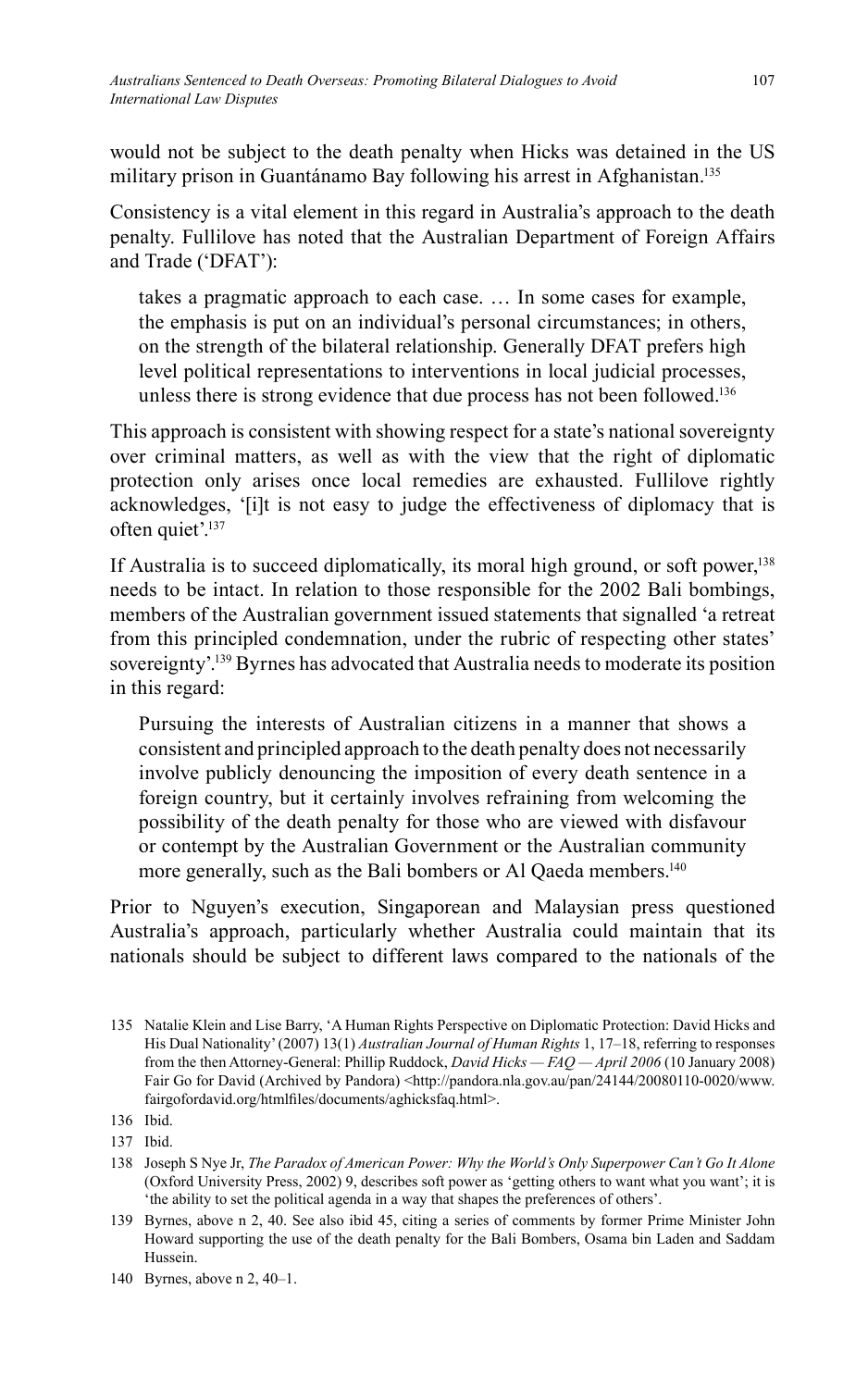would not be subject to the death penalty when Hicks was detained in the US military prison in Guantánamo Bay following his arrest in Afghanistan.<sup>135</sup>

Consistency is a vital element in this regard in Australia's approach to the death penalty. Fullilove has noted that the Australian Department of Foreign Affairs and Trade ('DFAT'):

takes a pragmatic approach to each case. … In some cases for example, the emphasis is put on an individual's personal circumstances; in others, on the strength of the bilateral relationship. Generally DFAT prefers high level political representations to interventions in local judicial processes, unless there is strong evidence that due process has not been followed.<sup>136</sup>

This approach is consistent with showing respect for a state's national sovereignty over criminal matters, as well as with the view that the right of diplomatic protection only arises once local remedies are exhausted. Fullilove rightly acknowledges, '[i]t is not easy to judge the effectiveness of diplomacy that is often quiet'.<sup>137</sup>

If Australia is to succeed diplomatically, its moral high ground, or soft power, $138$ needs to be intact. In relation to those responsible for the 2002 Bali bombings, members of the Australian government issued statements that signalled 'a retreat from this principled condemnation, under the rubric of respecting other states' sovereignty'.<sup>139</sup> Byrnes has advocated that Australia needs to moderate its position in this regard:

Pursuing the interests of Australian citizens in a manner that shows a consistent and principled approach to the death penalty does not necessarily involve publicly denouncing the imposition of every death sentence in a foreign country, but it certainly involves refraining from welcoming the possibility of the death penalty for those who are viewed with disfavour or contempt by the Australian Government or the Australian community more generally, such as the Bali bombers or Al Qaeda members.<sup>140</sup>

Prior to Nguyen's execution, Singaporean and Malaysian press questioned Australia's approach, particularly whether Australia could maintain that its nationals should be subject to different laws compared to the nationals of the

<sup>135</sup> Natalie Klein and Lise Barry, 'A Human Rights Perspective on Diplomatic Protection: David Hicks and His Dual Nationality' (2007) 13(1) *Australian Journal of Human Rights* 1, 17–18, referring to responses from the then Attorney-General: Phillip Ruddock, *David Hicks — FAQ — April 2006* (10 January 2008) Fair Go for David (Archived by Pandora) <http://pandora.nla.gov.au/pan/24144/20080110-0020/www. fairgofordavid.org/htmlfiles/documents/aghicksfaq.html>.

<sup>136</sup> Ibid.

<sup>137</sup> Ibid.

<sup>138</sup> Joseph S Nye Jr, *The Paradox of American Power: Why the World's Only Superpower Can't Go It Alone* (Oxford University Press, 2002) 9, describes soft power as 'getting others to want what you want'; it is 'the ability to set the political agenda in a way that shapes the preferences of others'.

<sup>139</sup> Byrnes, above n 2, 40. See also ibid 45, citing a series of comments by former Prime Minister John Howard supporting the use of the death penalty for the Bali Bombers, Osama bin Laden and Saddam Hussein.

<sup>140</sup> Byrnes, above n 2, 40–1.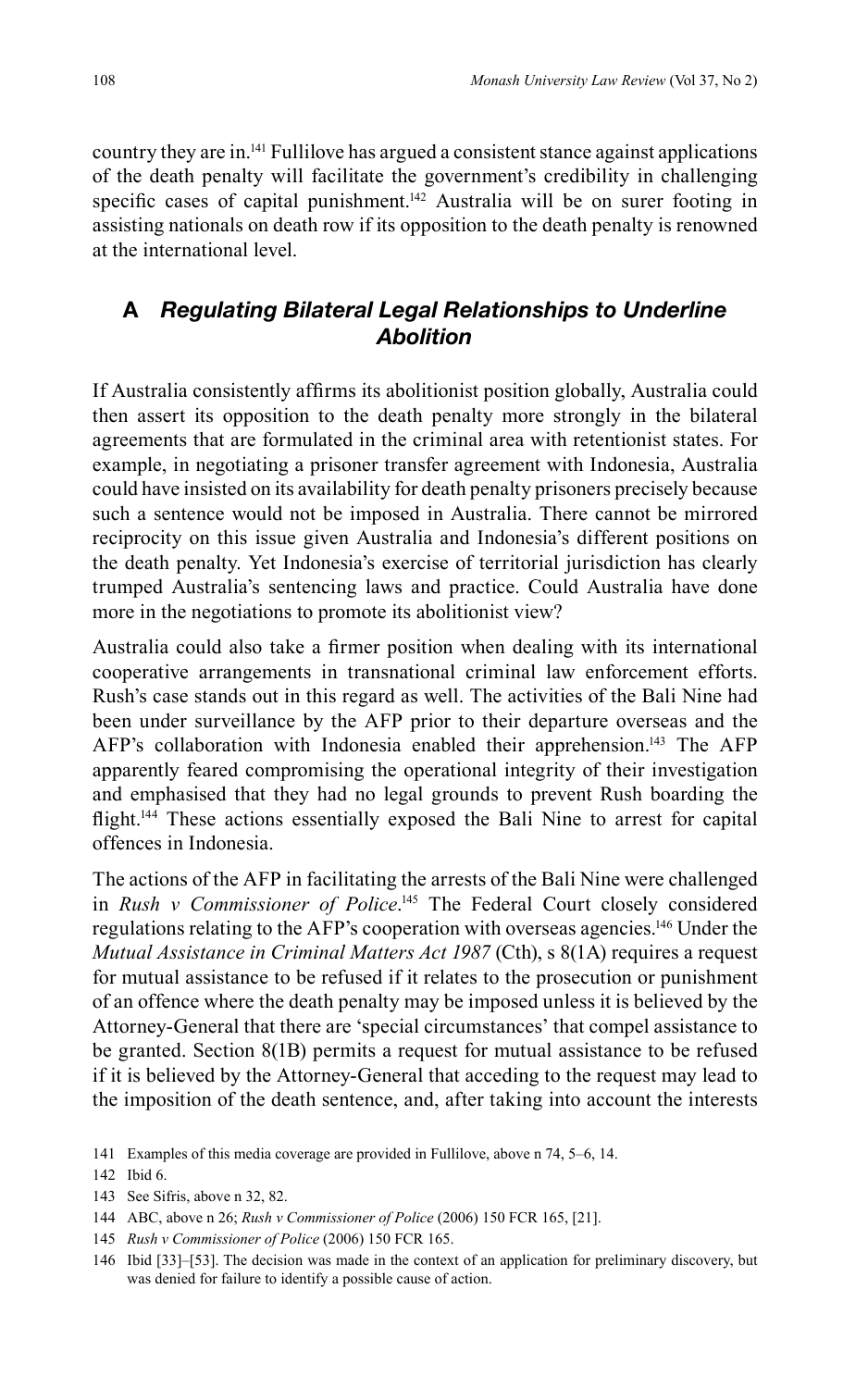country they are in.141 Fullilove has argued a consistent stance against applications of the death penalty will facilitate the government's credibility in challenging specific cases of capital punishment.<sup>142</sup> Australia will be on surer footing in assisting nationals on death row if its opposition to the death penalty is renowned at the international level.

### **A** *Regulating Bilateral Legal Relationships to Underline Abolition*

If Australia consistently affirms its abolitionist position globally, Australia could then assert its opposition to the death penalty more strongly in the bilateral agreements that are formulated in the criminal area with retentionist states. For example, in negotiating a prisoner transfer agreement with Indonesia, Australia could have insisted on its availability for death penalty prisoners precisely because such a sentence would not be imposed in Australia. There cannot be mirrored reciprocity on this issue given Australia and Indonesia's different positions on the death penalty. Yet Indonesia's exercise of territorial jurisdiction has clearly trumped Australia's sentencing laws and practice. Could Australia have done more in the negotiations to promote its abolitionist view?

Australia could also take a firmer position when dealing with its international cooperative arrangements in transnational criminal law enforcement efforts. Rush's case stands out in this regard as well. The activities of the Bali Nine had been under surveillance by the AFP prior to their departure overseas and the AFP's collaboration with Indonesia enabled their apprehension.<sup>143</sup> The AFP apparently feared compromising the operational integrity of their investigation and emphasised that they had no legal grounds to prevent Rush boarding the flight.<sup>144</sup> These actions essentially exposed the Bali Nine to arrest for capital offences in Indonesia.

The actions of the AFP in facilitating the arrests of the Bali Nine were challenged in *Rush v Commissioner of Police*. 145 The Federal Court closely considered regulations relating to the AFP's cooperation with overseas agencies.146 Under the *Mutual Assistance in Criminal Matters Act 1987* (Cth), s 8(1A) requires a request for mutual assistance to be refused if it relates to the prosecution or punishment of an offence where the death penalty may be imposed unless it is believed by the Attorney-General that there are 'special circumstances' that compel assistance to be granted. Section 8(1B) permits a request for mutual assistance to be refused if it is believed by the Attorney-General that acceding to the request may lead to the imposition of the death sentence, and, after taking into account the interests

145 *Rush v Commissioner of Police* (2006) 150 FCR 165.

<sup>141</sup> Examples of this media coverage are provided in Fullilove, above n 74, 5–6, 14.

<sup>142</sup> Ibid 6.

<sup>143</sup> See Sifris, above n 32, 82.

<sup>144</sup> ABC, above n 26; *Rush v Commissioner of Police* (2006) 150 FCR 165, [21].

<sup>146</sup> Ibid [33]–[53]. The decision was made in the context of an application for preliminary discovery, but was denied for failure to identify a possible cause of action.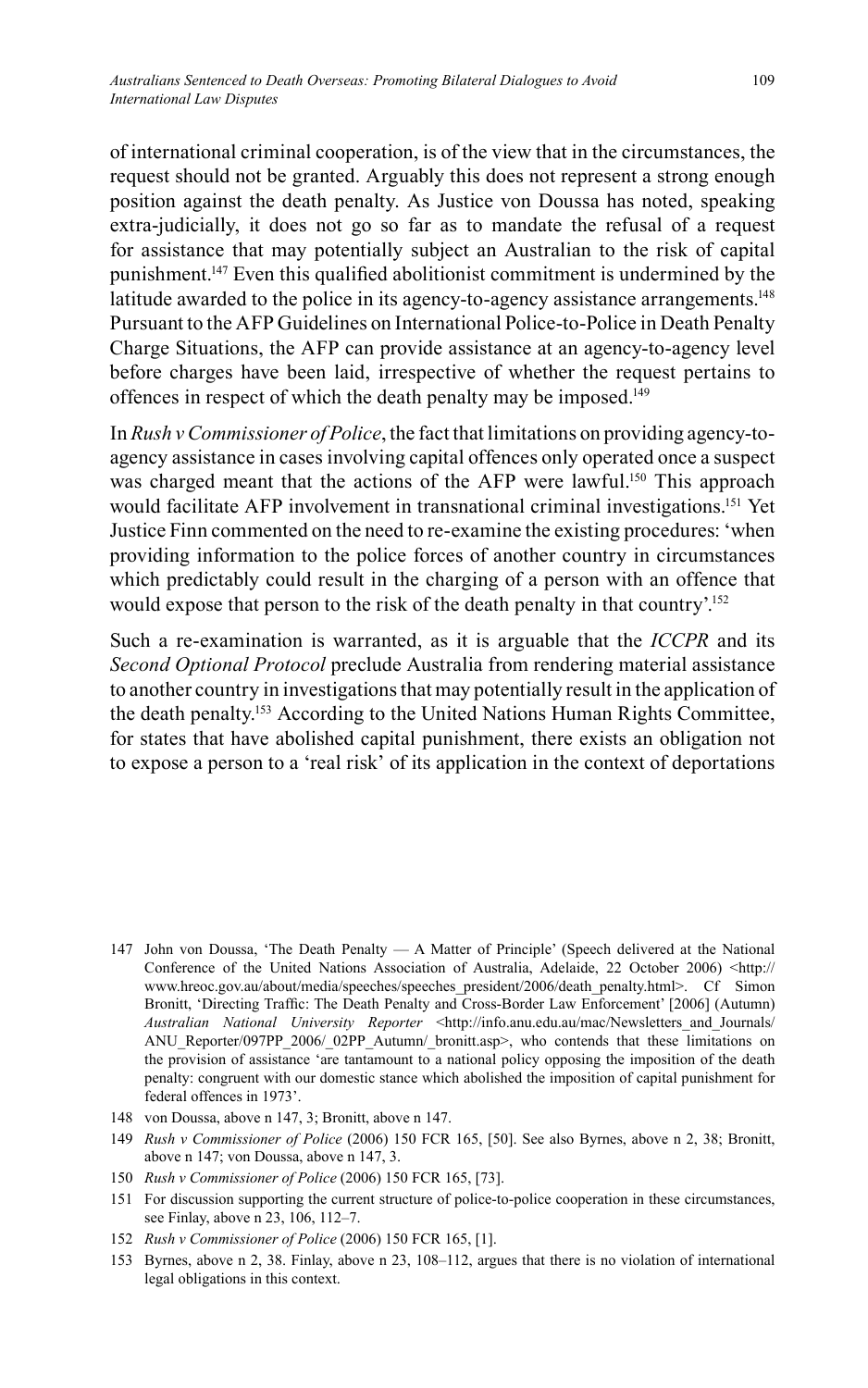of international criminal cooperation, is of the view that in the circumstances, the request should not be granted. Arguably this does not represent a strong enough position against the death penalty. As Justice von Doussa has noted, speaking extra-judicially, it does not go so far as to mandate the refusal of a request for assistance that may potentially subject an Australian to the risk of capital punishment.<sup>147</sup> Even this qualified abolitionist commitment is undermined by the latitude awarded to the police in its agency-to-agency assistance arrangements.<sup>148</sup> Pursuant to the AFP Guidelines on International Police-to-Police in Death Penalty Charge Situations, the AFP can provide assistance at an agency-to-agency level before charges have been laid, irrespective of whether the request pertains to offences in respect of which the death penalty may be imposed.149

In *Rush v Commissioner of Police*, the fact that limitations on providing agency-toagency assistance in cases involving capital offences only operated once a suspect was charged meant that the actions of the AFP were lawful.<sup>150</sup> This approach would facilitate AFP involvement in transnational criminal investigations.151 Yet Justice Finn commented on the need to re-examine the existing procedures: 'when providing information to the police forces of another country in circumstances which predictably could result in the charging of a person with an offence that would expose that person to the risk of the death penalty in that country'.<sup>152</sup>

Such a re-examination is warranted, as it is arguable that the *ICCPR* and its *Second Optional Protocol* preclude Australia from rendering material assistance to another country in investigations that may potentially result in the application of the death penalty.153 According to the United Nations Human Rights Committee, for states that have abolished capital punishment, there exists an obligation not to expose a person to a 'real risk' of its application in the context of deportations

- 147 John von Doussa, 'The Death Penalty A Matter of Principle' (Speech delivered at the National Conference of the United Nations Association of Australia, Adelaide, 22 October 2006) <http:// www.hreoc.gov.au/about/media/speeches/speeches\_president/2006/death\_penalty.html>. Cf Simon Bronitt, 'Directing Traffic: The Death Penalty and Cross-Border Law Enforcement' [2006] (Autumn) *Australian National University Reporter <http://info.anu.edu.au/mac/Newsletters and Journals/* ANU\_Reporter/097PP\_2006/\_02PP\_Autumn/\_bronitt.asp>, who contends that these limitations on the provision of assistance 'are tantamount to a national policy opposing the imposition of the death penalty: congruent with our domestic stance which abolished the imposition of capital punishment for federal offences in 1973'.
- 148 von Doussa, above n 147, 3; Bronitt, above n 147.
- 149 *Rush v Commissioner of Police* (2006) 150 FCR 165, [50]. See also Byrnes, above n 2, 38; Bronitt, above n 147; von Doussa, above n 147, 3.
- 150 *Rush v Commissioner of Police* (2006) 150 FCR 165, [73].
- 151 For discussion supporting the current structure of police-to-police cooperation in these circumstances, see Finlay, above n 23, 106, 112–7.
- 152 *Rush v Commissioner of Police* (2006) 150 FCR 165, [1].
- 153 Byrnes, above n 2, 38. Finlay, above n 23, 108–112, argues that there is no violation of international legal obligations in this context.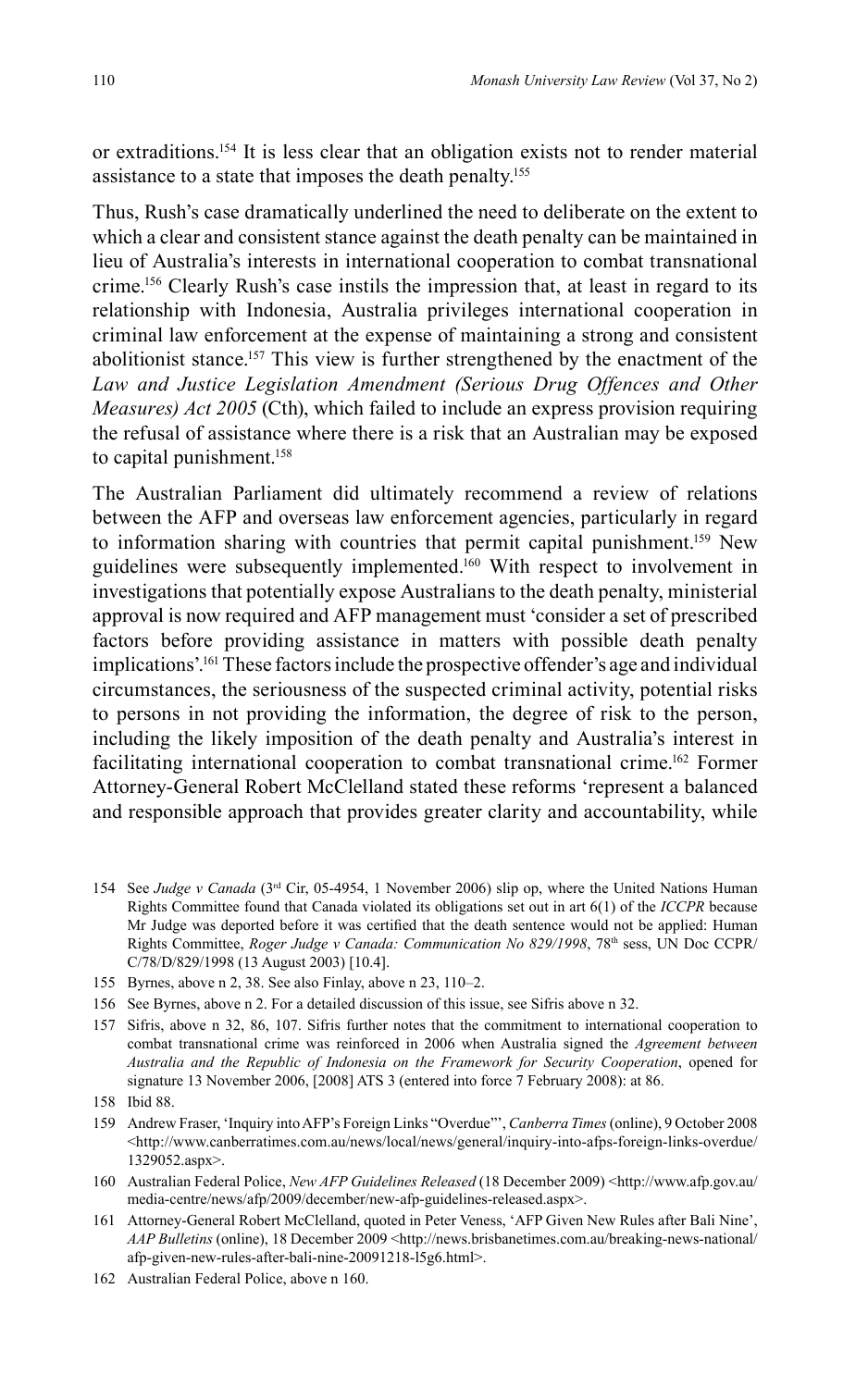or extraditions.154 It is less clear that an obligation exists not to render material assistance to a state that imposes the death penalty.<sup>155</sup>

Thus, Rush's case dramatically underlined the need to deliberate on the extent to which a clear and consistent stance against the death penalty can be maintained in lieu of Australia's interests in international cooperation to combat transnational crime.156 Clearly Rush's case instils the impression that, at least in regard to its relationship with Indonesia, Australia privileges international cooperation in criminal law enforcement at the expense of maintaining a strong and consistent abolitionist stance.157 This view is further strengthened by the enactment of the *Law and Justice Legislation Amendment (Serious Drug Offences and Other Measures) Act 2005* (Cth), which failed to include an express provision requiring the refusal of assistance where there is a risk that an Australian may be exposed to capital punishment.<sup>158</sup>

The Australian Parliament did ultimately recommend a review of relations between the AFP and overseas law enforcement agencies, particularly in regard to information sharing with countries that permit capital punishment.159 New guidelines were subsequently implemented. 160 With respect to involvement in investigations that potentially expose Australians to the death penalty, ministerial approval is now required and AFP management must 'consider a set of prescribed factors before providing assistance in matters with possible death penalty implications'.161 These factors include the prospective offender's age and individual circumstances, the seriousness of the suspected criminal activity, potential risks to persons in not providing the information, the degree of risk to the person, including the likely imposition of the death penalty and Australia's interest in facilitating international cooperation to combat transnational crime.162 Former Attorney-General Robert McClelland stated these reforms 'represent a balanced and responsible approach that provides greater clarity and accountability, while

- 154 See *Judge v Canada* (3rd Cir, 05-4954, 1 November 2006) slip op, where the United Nations Human Rights Committee found that Canada violated its obligations set out in art 6(1) of the *ICCPR* because Mr Judge was deported before it was certified that the death sentence would not be applied: Human Rights Committee, *Roger Judge v Canada: Communication No 829/1998*, 78th sess, UN Doc CCPR/ C/78/D/829/1998 (13 August 2003) [10.4].
- 155 Byrnes, above n 2, 38. See also Finlay, above n 23, 110–2.
- 156 See Byrnes, above n 2. For a detailed discussion of this issue, see Sifris above n 32.
- 157 Sifris, above n 32, 86, 107. Sifris further notes that the commitment to international cooperation to combat transnational crime was reinforced in 2006 when Australia signed the *Agreement between Australia and the Republic of Indonesia on the Framework for Security Cooperation*, opened for signature 13 November 2006, [2008] ATS 3 (entered into force 7 February 2008): at 86.
- 158 Ibid 88.
- 159 Andrew Fraser, 'Inquiry into AFP's Foreign Links "Overdue"', *Canberra Times* (online), 9 October 2008 <http://www.canberratimes.com.au/news/local/news/general/inquiry-into-afps-foreign-links-overdue/ 1329052.aspx>.
- 160 Australian Federal Police, *New AFP Guidelines Released* (18 December 2009) <http://www.afp.gov.au/ media-centre/news/afp/2009/december/new-afp-guidelines-released.aspx>.
- 161 Attorney-General Robert McClelland, quoted in Peter Veness, 'AFP Given New Rules after Bali Nine', *AAP Bulletins* (online), 18 December 2009 <http://news.brisbanetimes.com.au/breaking-news-national/ afp-given-new-rules-after-bali-nine-20091218-l5g6.html>.
- 162 Australian Federal Police, above n 160.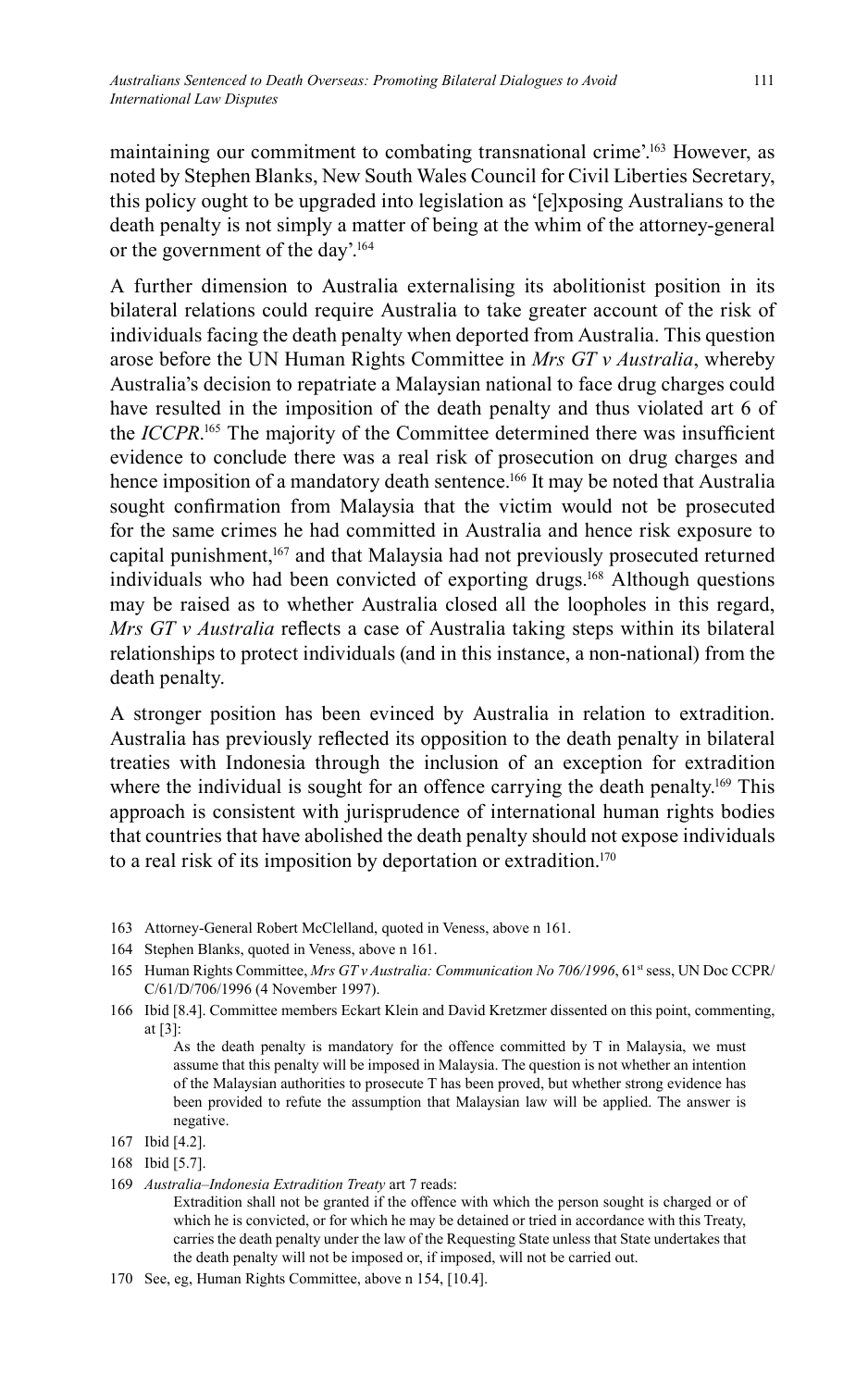maintaining our commitment to combating transnational crime'.<sup>163</sup> However, as noted by Stephen Blanks, New South Wales Council for Civil Liberties Secretary, this policy ought to be upgraded into legislation as '[e]xposing Australians to the death penalty is not simply a matter of being at the whim of the attorney-general or the government of the day'. 164

A further dimension to Australia externalising its abolitionist position in its bilateral relations could require Australia to take greater account of the risk of individuals facing the death penalty when deported from Australia. This question arose before the UN Human Rights Committee in *Mrs GT v Australia*, whereby Australia's decision to repatriate a Malaysian national to face drug charges could have resulted in the imposition of the death penalty and thus violated art 6 of the *ICCPR*.<sup>165</sup> The majority of the Committee determined there was insufficient evidence to conclude there was a real risk of prosecution on drug charges and hence imposition of a mandatory death sentence.<sup>166</sup> It may be noted that Australia sought confirmation from Malaysia that the victim would not be prosecuted for the same crimes he had committed in Australia and hence risk exposure to capital punishment,<sup>167</sup> and that Malaysia had not previously prosecuted returned individuals who had been convicted of exporting drugs.168 Although questions may be raised as to whether Australia closed all the loopholes in this regard, *Mrs GT v Australia* reflects a case of Australia taking steps within its bilateral relationships to protect individuals (and in this instance, a non-national) from the death penalty.

A stronger position has been evinced by Australia in relation to extradition. Australia has previously reflected its opposition to the death penalty in bilateral treaties with Indonesia through the inclusion of an exception for extradition where the individual is sought for an offence carrying the death penalty.<sup>169</sup> This approach is consistent with jurisprudence of international human rights bodies that countries that have abolished the death penalty should not expose individuals to a real risk of its imposition by deportation or extradition.170

- 163 Attorney-General Robert McClelland, quoted in Veness, above n 161.
- 164 Stephen Blanks, quoted in Veness, above n 161.
- 165 Human Rights Committee, *Mrs GT v Australia: Communication No* 706/1996, 61<sup>st</sup> sess, UN Doc CCPR/ C/61/D/706/1996 (4 November 1997).
- 166 Ibid [8.4]. Committee members Eckart Klein and David Kretzmer dissented on this point, commenting, at [3]:

 As the death penalty is mandatory for the offence committed by T in Malaysia, we must assume that this penalty will be imposed in Malaysia. The question is not whether an intention of the Malaysian authorities to prosecute T has been proved, but whether strong evidence has been provided to refute the assumption that Malaysian law will be applied. The answer is negative.

169 *Australia–Indonesia Extradition Treaty* art 7 reads:

 Extradition shall not be granted if the offence with which the person sought is charged or of which he is convicted, or for which he may be detained or tried in accordance with this Treaty, carries the death penalty under the law of the Requesting State unless that State undertakes that the death penalty will not be imposed or, if imposed, will not be carried out.

170 See, eg, Human Rights Committee, above n 154, [10.4].

<sup>167</sup> Ibid [4.2].

<sup>168</sup> Ibid [5.7].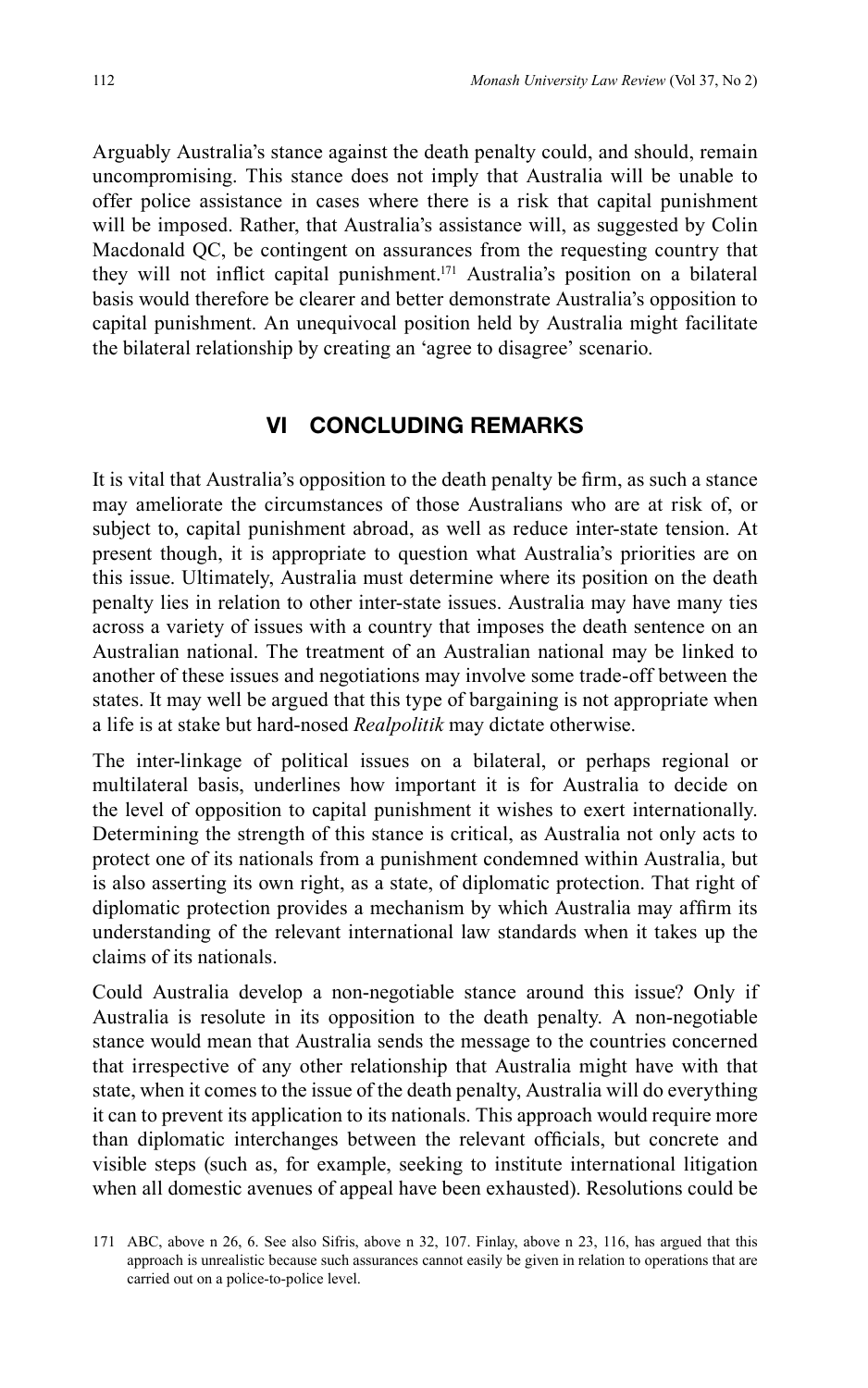Arguably Australia's stance against the death penalty could, and should, remain uncompromising. This stance does not imply that Australia will be unable to offer police assistance in cases where there is a risk that capital punishment will be imposed. Rather, that Australia's assistance will, as suggested by Colin Macdonald QC, be contingent on assurances from the requesting country that they will not inflict capital punishment.<sup>171</sup> Australia's position on a bilateral basis would therefore be clearer and better demonstrate Australia's opposition to capital punishment. An unequivocal position held by Australia might facilitate the bilateral relationship by creating an 'agree to disagree' scenario.

### **VI CONCLUDING REMARKS**

It is vital that Australia's opposition to the death penalty be firm, as such a stance may ameliorate the circumstances of those Australians who are at risk of, or subject to, capital punishment abroad, as well as reduce inter-state tension. At present though, it is appropriate to question what Australia's priorities are on this issue. Ultimately, Australia must determine where its position on the death penalty lies in relation to other inter-state issues. Australia may have many ties across a variety of issues with a country that imposes the death sentence on an Australian national. The treatment of an Australian national may be linked to another of these issues and negotiations may involve some trade-off between the states. It may well be argued that this type of bargaining is not appropriate when a life is at stake but hard-nosed *Realpolitik* may dictate otherwise.

The inter-linkage of political issues on a bilateral, or perhaps regional or multilateral basis, underlines how important it is for Australia to decide on the level of opposition to capital punishment it wishes to exert internationally. Determining the strength of this stance is critical, as Australia not only acts to protect one of its nationals from a punishment condemned within Australia, but is also asserting its own right, as a state, of diplomatic protection. That right of diplomatic protection provides a mechanism by which Australia may affirm its understanding of the relevant international law standards when it takes up the claims of its nationals.

Could Australia develop a non-negotiable stance around this issue? Only if Australia is resolute in its opposition to the death penalty. A non-negotiable stance would mean that Australia sends the message to the countries concerned that irrespective of any other relationship that Australia might have with that state, when it comes to the issue of the death penalty, Australia will do everything it can to prevent its application to its nationals. This approach would require more than diplomatic interchanges between the relevant officials, but concrete and visible steps (such as, for example, seeking to institute international litigation when all domestic avenues of appeal have been exhausted). Resolutions could be

<sup>171</sup> ABC, above n 26, 6. See also Sifris, above n 32, 107. Finlay, above n 23, 116, has argued that this approach is unrealistic because such assurances cannot easily be given in relation to operations that are carried out on a police-to-police level.